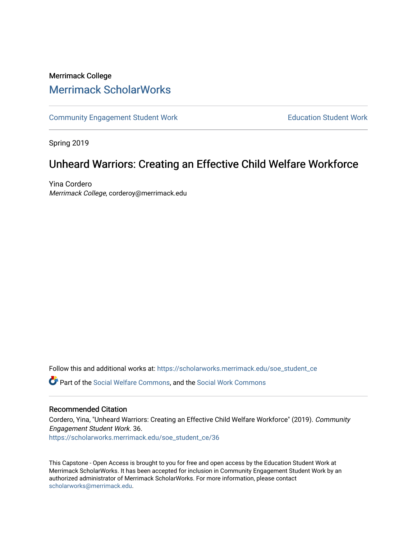# Merrimack College [Merrimack ScholarWorks](https://scholarworks.merrimack.edu/)

[Community Engagement Student Work](https://scholarworks.merrimack.edu/soe_student_ce) **Education Student Work** Education Student Work

Spring 2019

# Unheard Warriors: Creating an Effective Child Welfare Workforce

Yina Cordero Merrimack College, corderoy@merrimack.edu

Follow this and additional works at: [https://scholarworks.merrimack.edu/soe\\_student\\_ce](https://scholarworks.merrimack.edu/soe_student_ce?utm_source=scholarworks.merrimack.edu%2Fsoe_student_ce%2F36&utm_medium=PDF&utm_campaign=PDFCoverPages) 

Part of the [Social Welfare Commons](http://network.bepress.com/hgg/discipline/401?utm_source=scholarworks.merrimack.edu%2Fsoe_student_ce%2F36&utm_medium=PDF&utm_campaign=PDFCoverPages), and the [Social Work Commons](http://network.bepress.com/hgg/discipline/713?utm_source=scholarworks.merrimack.edu%2Fsoe_student_ce%2F36&utm_medium=PDF&utm_campaign=PDFCoverPages) 

## Recommended Citation

Cordero, Yina, "Unheard Warriors: Creating an Effective Child Welfare Workforce" (2019). Community Engagement Student Work. 36. [https://scholarworks.merrimack.edu/soe\\_student\\_ce/36](https://scholarworks.merrimack.edu/soe_student_ce/36?utm_source=scholarworks.merrimack.edu%2Fsoe_student_ce%2F36&utm_medium=PDF&utm_campaign=PDFCoverPages)

This Capstone - Open Access is brought to you for free and open access by the Education Student Work at Merrimack ScholarWorks. It has been accepted for inclusion in Community Engagement Student Work by an authorized administrator of Merrimack ScholarWorks. For more information, please contact [scholarworks@merrimack.edu](mailto:scholarworks@merrimack.edu).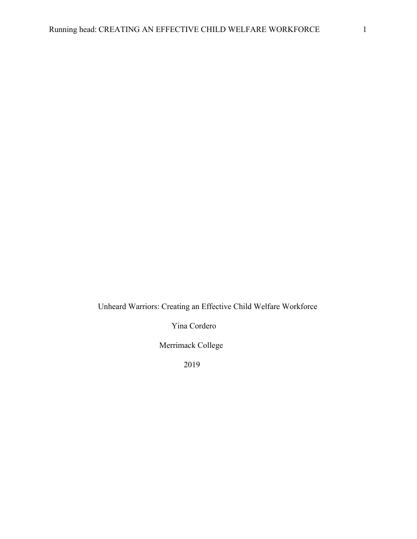Unheard Warriors: Creating an Effective Child Welfare Workforce

Yina Cordero

Merrimack College

2019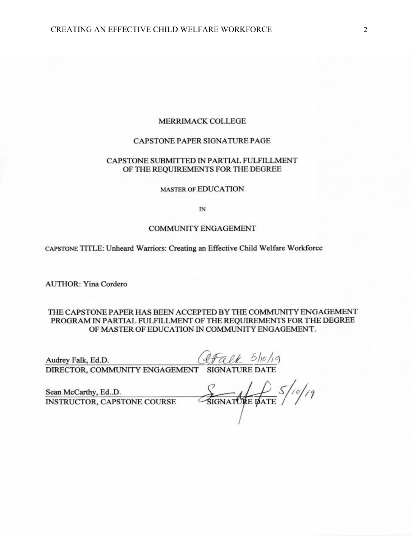## MERRIMACK COLLEGE

#### **CAPSTONE PAPER SIGNATURE PAGE**

#### CAPSTONE SUBMITTED IN PARTIAL FULFILLMENT OF THE REQUIREMENTS FOR THE DEGREE

#### **MASTER OF EDUCATION**

 $\overline{\mathbb{N}}$ 

#### **COMMUNITY ENGAGEMENT**

CAPSTONE TITLE: Unheard Warriors: Creating an Effective Child Welfare Workforce

**AUTHOR: Yina Cordero** 

THE CAPSTONE PAPER HAS BEEN ACCEPTED BY THE COMMUNITY ENGAGEMENT PROGRAM IN PARTIAL FULFILLMENT OF THE REQUIREMENTS FOR THE DEGREE OF MASTER OF EDUCATION IN COMMUNITY ENGAGEMENT.

Audrey Falk, Ed.D.  $QF\alpha \ell k$   $5/10/19$ <br>DIRECTOR, COMMUNITY ENGAGEMENT SIGNATURE DATE

Sean McCarthy, Ed..D. **INSTRUCTOR, CAPSTONE COURSE** 

SIGNATURE PATE 5/10/19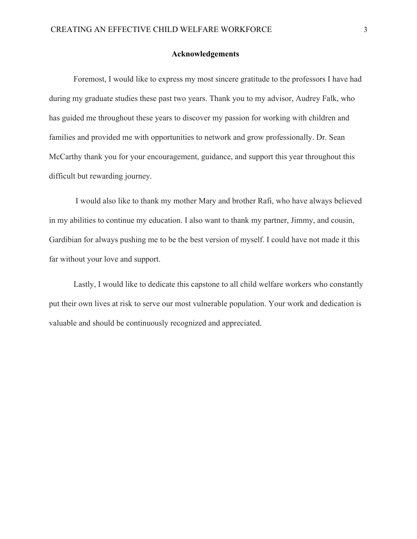#### **Acknowledgements**

Foremost, I would like to express my most sincere gratitude to the professors I have had during my graduate studies these past two years. Thank you to my advisor, Audrey Falk, who has guided me throughout these years to discover my passion for working with children and families and provided me with opportunities to network and grow professionally. Dr. Sean McCarthy thank you for your encouragement, guidance, and support this year throughout this difficult but rewarding journey.

 I would also like to thank my mother Mary and brother Rafi, who have always believed in my abilities to continue my education. I also want to thank my partner, Jimmy, and cousin, Gardibian for always pushing me to be the best version of myself. I could have not made it this far without your love and support.

Lastly, I would like to dedicate this capstone to all child welfare workers who constantly put their own lives at risk to serve our most vulnerable population. Your work and dedication is valuable and should be continuously recognized and appreciated.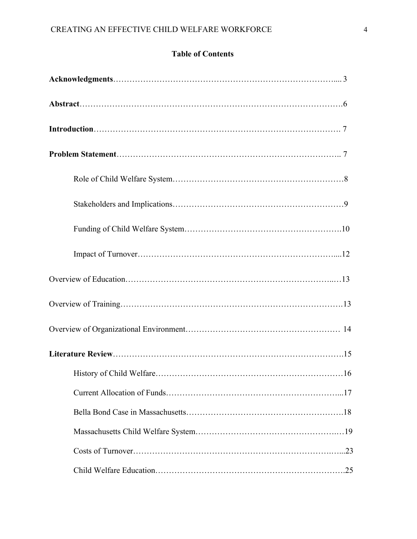## **Table of Contents**

| .25 |
|-----|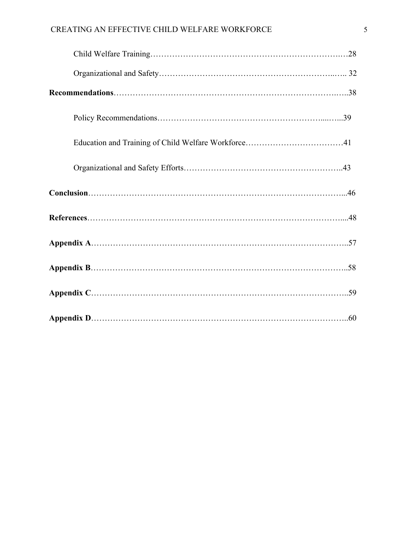## CREATING AN EFFECTIVE CHILD WELFARE WORKFORCE 5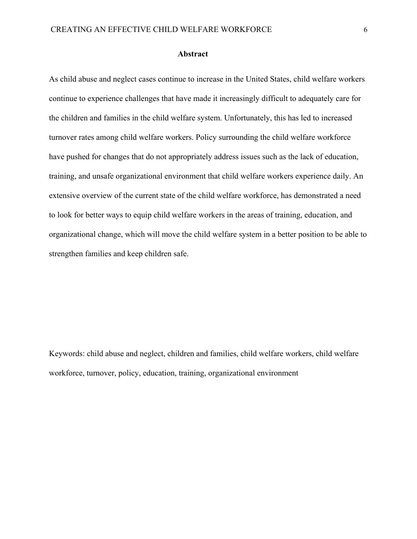#### **Abstract**

As child abuse and neglect cases continue to increase in the United States, child welfare workers continue to experience challenges that have made it increasingly difficult to adequately care for the children and families in the child welfare system. Unfortunately, this has led to increased turnover rates among child welfare workers. Policy surrounding the child welfare workforce have pushed for changes that do not appropriately address issues such as the lack of education, training, and unsafe organizational environment that child welfare workers experience daily. An extensive overview of the current state of the child welfare workforce, has demonstrated a need to look for better ways to equip child welfare workers in the areas of training, education, and organizational change, which will move the child welfare system in a better position to be able to strengthen families and keep children safe.

Keywords: child abuse and neglect, children and families, child welfare workers, child welfare workforce, turnover, policy, education, training, organizational environment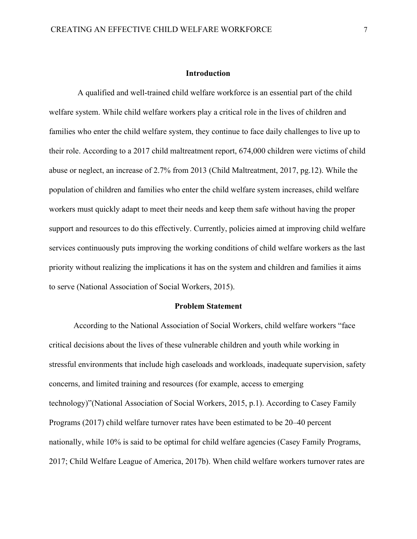#### **Introduction**

A qualified and well-trained child welfare workforce is an essential part of the child welfare system. While child welfare workers play a critical role in the lives of children and families who enter the child welfare system, they continue to face daily challenges to live up to their role. According to a 2017 child maltreatment report, 674,000 children were victims of child abuse or neglect, an increase of 2.7% from 2013 (Child Maltreatment, 2017, pg.12). While the population of children and families who enter the child welfare system increases, child welfare workers must quickly adapt to meet their needs and keep them safe without having the proper support and resources to do this effectively. Currently, policies aimed at improving child welfare services continuously puts improving the working conditions of child welfare workers as the last priority without realizing the implications it has on the system and children and families it aims to serve (National Association of Social Workers, 2015).

#### **Problem Statement**

According to the National Association of Social Workers, child welfare workers "face critical decisions about the lives of these vulnerable children and youth while working in stressful environments that include high caseloads and workloads, inadequate supervision, safety concerns, and limited training and resources (for example, access to emerging technology)"(National Association of Social Workers, 2015, p.1). According to Casey Family Programs (2017) child welfare turnover rates have been estimated to be 20–40 percent nationally, while 10% is said to be optimal for child welfare agencies (Casey Family Programs, 2017; Child Welfare League of America, 2017b). When child welfare workers turnover rates are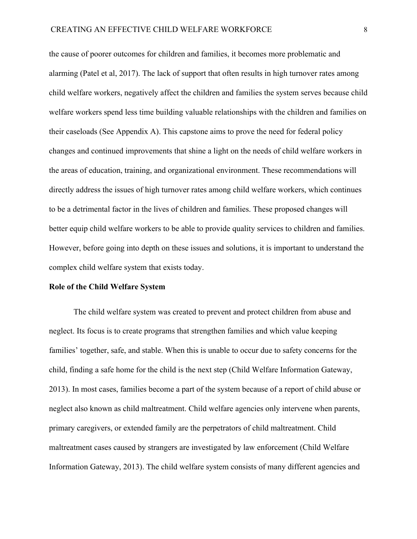the cause of poorer outcomes for children and families, it becomes more problematic and alarming (Patel et al, 2017). The lack of support that often results in high turnover rates among child welfare workers, negatively affect the children and families the system serves because child welfare workers spend less time building valuable relationships with the children and families on their caseloads (See Appendix A). This capstone aims to prove the need for federal policy changes and continued improvements that shine a light on the needs of child welfare workers in the areas of education, training, and organizational environment. These recommendations will directly address the issues of high turnover rates among child welfare workers, which continues to be a detrimental factor in the lives of children and families. These proposed changes will better equip child welfare workers to be able to provide quality services to children and families. However, before going into depth on these issues and solutions, it is important to understand the complex child welfare system that exists today.

## **Role of the Child Welfare System**

The child welfare system was created to prevent and protect children from abuse and neglect. Its focus is to create programs that strengthen families and which value keeping families' together, safe, and stable. When this is unable to occur due to safety concerns for the child, finding a safe home for the child is the next step (Child Welfare Information Gateway, 2013). In most cases, families become a part of the system because of a report of child abuse or neglect also known as child maltreatment. Child welfare agencies only intervene when parents, primary caregivers, or extended family are the perpetrators of child maltreatment. Child maltreatment cases caused by strangers are investigated by law enforcement (Child Welfare Information Gateway, 2013). The child welfare system consists of many different agencies and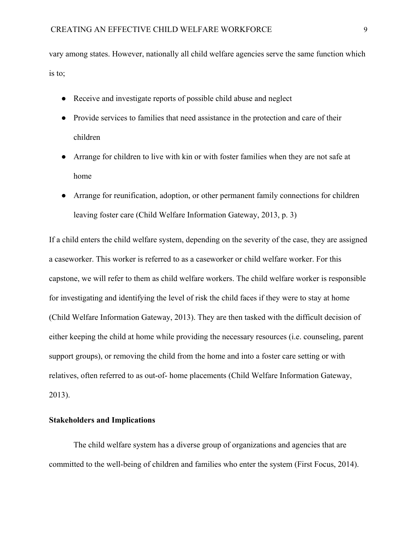vary among states. However, nationally all child welfare agencies serve the same function which is to;

- Receive and investigate reports of possible child abuse and neglect
- Provide services to families that need assistance in the protection and care of their children
- Arrange for children to live with kin or with foster families when they are not safe at home
- Arrange for reunification, adoption, or other permanent family connections for children leaving foster care (Child Welfare Information Gateway, 2013, p. 3)

If a child enters the child welfare system, depending on the severity of the case, they are assigned a caseworker. This worker is referred to as a caseworker or child welfare worker. For this capstone, we will refer to them as child welfare workers. The child welfare worker is responsible for investigating and identifying the level of risk the child faces if they were to stay at home (Child Welfare Information Gateway, 2013). They are then tasked with the difficult decision of either keeping the child at home while providing the necessary resources (i.e. counseling, parent support groups), or removing the child from the home and into a foster care setting or with relatives, often referred to as out-of- home placements (Child Welfare Information Gateway, 2013).

## **Stakeholders and Implications**

The child welfare system has a diverse group of organizations and agencies that are committed to the well-being of children and families who enter the system (First Focus, 2014).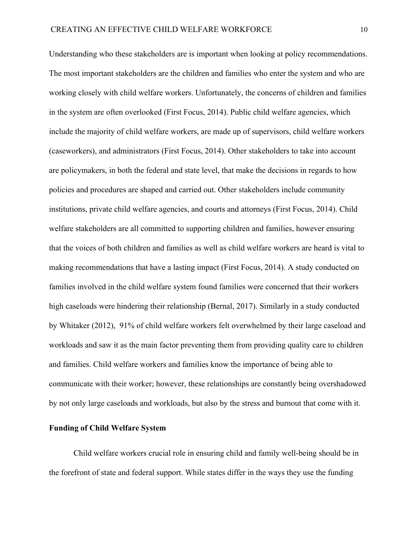Understanding who these stakeholders are is important when looking at policy recommendations. The most important stakeholders are the children and families who enter the system and who are working closely with child welfare workers. Unfortunately, the concerns of children and families in the system are often overlooked (First Focus, 2014). Public child welfare agencies, which include the majority of child welfare workers, are made up of supervisors, child welfare workers (caseworkers), and administrators (First Focus, 2014). Other stakeholders to take into account are policymakers, in both the federal and state level, that make the decisions in regards to how policies and procedures are shaped and carried out. Other stakeholders include community institutions, private child welfare agencies, and courts and attorneys (First Focus, 2014). Child welfare stakeholders are all committed to supporting children and families, however ensuring that the voices of both children and families as well as child welfare workers are heard is vital to making recommendations that have a lasting impact (First Focus, 2014). A study conducted on families involved in the child welfare system found families were concerned that their workers high caseloads were hindering their relationship (Bernal, 2017). Similarly in a study conducted by Whitaker (2012), 91% of child welfare workers felt overwhelmed by their large caseload and workloads and saw it as the main factor preventing them from providing quality care to children and families. Child welfare workers and families know the importance of being able to communicate with their worker; however, these relationships are constantly being overshadowed by not only large caseloads and workloads, but also by the stress and burnout that come with it.

## **Funding of Child Welfare System**

Child welfare workers crucial role in ensuring child and family well-being should be in the forefront of state and federal support. While states differ in the ways they use the funding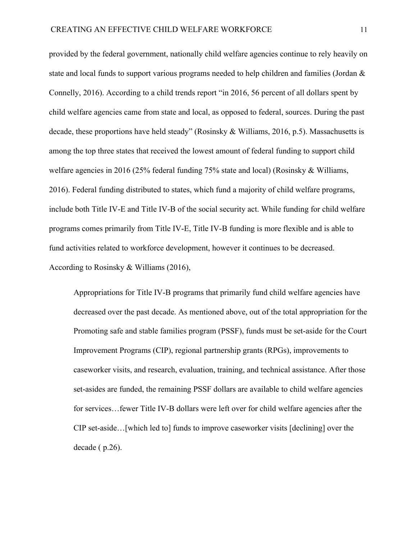provided by the federal government, nationally child welfare agencies continue to rely heavily on state and local funds to support various programs needed to help children and families (Jordan & Connelly, 2016). According to a child trends report "in 2016, 56 percent of all dollars spent by child welfare agencies came from state and local, as opposed to federal, sources. During the past decade, these proportions have held steady" (Rosinsky & Williams, 2016, p.5). Massachusetts is among the top three states that received the lowest amount of federal funding to support child welfare agencies in 2016 (25% federal funding 75% state and local) (Rosinsky & Williams, 2016). Federal funding distributed to states, which fund a majority of child welfare programs, include both Title IV-E and Title IV-B of the social security act. While funding for child welfare programs comes primarily from Title IV-E, Title IV-B funding is more flexible and is able to fund activities related to workforce development, however it continues to be decreased. According to Rosinsky & Williams (2016),

Appropriations for Title IV-B programs that primarily fund child welfare agencies have decreased over the past decade. As mentioned above, out of the total appropriation for the Promoting safe and stable families program (PSSF), funds must be set-aside for the Court Improvement Programs (CIP), regional partnership grants (RPGs), improvements to caseworker visits, and research, evaluation, training, and technical assistance. After those set-asides are funded, the remaining PSSF dollars are available to child welfare agencies for services…fewer Title IV-B dollars were left over for child welfare agencies after the CIP set-aside…[which led to] funds to improve caseworker visits [declining] over the decade ( p.26).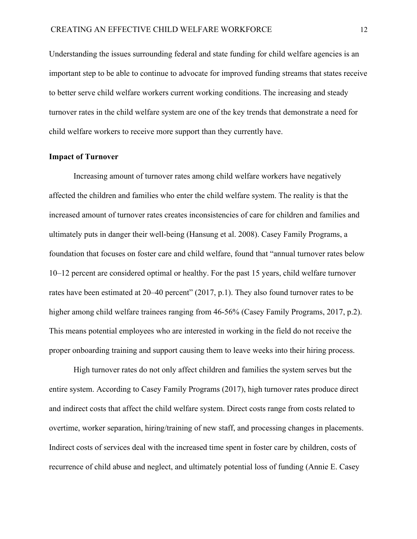Understanding the issues surrounding federal and state funding for child welfare agencies is an important step to be able to continue to advocate for improved funding streams that states receive to better serve child welfare workers current working conditions. The increasing and steady turnover rates in the child welfare system are one of the key trends that demonstrate a need for child welfare workers to receive more support than they currently have.

## **Impact of Turnover**

Increasing amount of turnover rates among child welfare workers have negatively affected the children and families who enter the child welfare system. The reality is that the increased amount of turnover rates creates inconsistencies of care for children and families and ultimately puts in danger their well-being (Hansung et al. 2008). Casey Family Programs, a foundation that focuses on foster care and child welfare, found that "annual turnover rates below 10–12 percent are considered optimal or healthy. For the past 15 years, child welfare turnover rates have been estimated at 20–40 percent" (2017, p.1). They also found turnover rates to be higher among child welfare trainees ranging from 46-56% (Casey Family Programs, 2017, p.2). This means potential employees who are interested in working in the field do not receive the proper onboarding training and support causing them to leave weeks into their hiring process.

High turnover rates do not only affect children and families the system serves but the entire system. According to Casey Family Programs (2017), high turnover rates produce direct and indirect costs that affect the child welfare system. Direct costs range from costs related to overtime, worker separation, hiring/training of new staff, and processing changes in placements. Indirect costs of services deal with the increased time spent in foster care by children, costs of recurrence of child abuse and neglect, and ultimately potential loss of funding (Annie E. Casey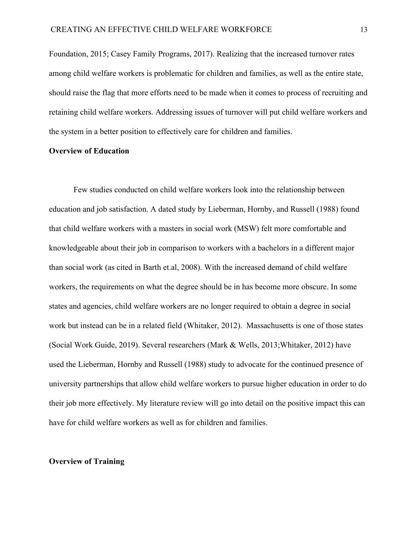Foundation, 2015; Casey Family Programs, 2017). Realizing that the increased turnover rates among child welfare workers is problematic for children and families, as well as the entire state, should raise the flag that more efforts need to be made when it comes to process of recruiting and retaining child welfare workers. Addressing issues of turnover will put child welfare workers and the system in a better position to effectively care for children and families.

### **Overview of Education**

Few studies conducted on child welfare workers look into the relationship between education and job satisfaction. A dated study by Lieberman, Hornby, and Russell (1988) found that child welfare workers with a masters in social work (MSW) felt more comfortable and knowledgeable about their job in comparison to workers with a bachelors in a different major than social work (as cited in Barth et.al, 2008). With the increased demand of child welfare workers, the requirements on what the degree should be in has become more obscure. In some states and agencies, child welfare workers are no longer required to obtain a degree in social work but instead can be in a related field (Whitaker, 2012). Massachusetts is one of those states (Social Work Guide, 2019). Several researchers (Mark & Wells, 2013;Whitaker, 2012) have used the Lieberman, Hornby and Russell (1988) study to advocate for the continued presence of university partnerships that allow child welfare workers to pursue higher education in order to do their job more effectively. My literature review will go into detail on the positive impact this can have for child welfare workers as well as for children and families.

## **Overview of Training**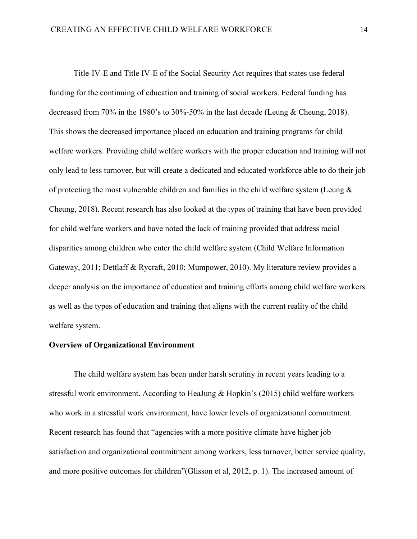Title-IV-E and Title IV-E of the Social Security Act requires that states use federal funding for the continuing of education and training of social workers. Federal funding has decreased from 70% in the 1980's to 30%-50% in the last decade (Leung & Cheung, 2018). This shows the decreased importance placed on education and training programs for child welfare workers. Providing child welfare workers with the proper education and training will not only lead to less turnover, but will create a dedicated and educated workforce able to do their job of protecting the most vulnerable children and families in the child welfare system (Leung  $\&$ Cheung, 2018). Recent research has also looked at the types of training that have been provided for child welfare workers and have noted the lack of training provided that address racial disparities among children who enter the child welfare system (Child Welfare Information Gateway, 2011; Dettlaff & Rycraft, 2010; Mumpower, 2010). My literature review provides a deeper analysis on the importance of education and training efforts among child welfare workers as well as the types of education and training that aligns with the current reality of the child welfare system.

## **Overview of Organizational Environment**

The child welfare system has been under harsh scrutiny in recent years leading to a stressful work environment. According to HeaJung & Hopkin's (2015) child welfare workers who work in a stressful work environment, have lower levels of organizational commitment. Recent research has found that "agencies with a more positive climate have higher job satisfaction and organizational commitment among workers, less turnover, better service quality, and more positive outcomes for children"(Glisson et al, 2012, p. 1). The increased amount of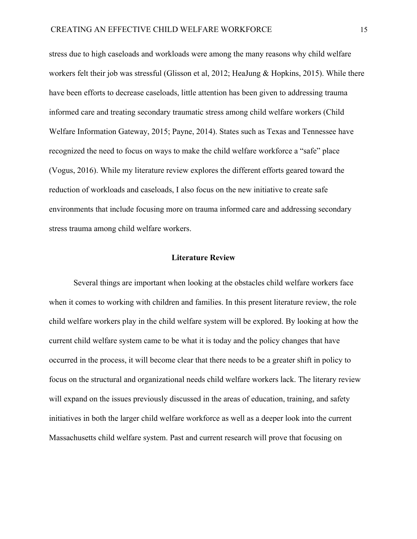stress due to high caseloads and workloads were among the many reasons why child welfare workers felt their job was stressful (Glisson et al, 2012; HeaJung & Hopkins, 2015). While there have been efforts to decrease caseloads, little attention has been given to addressing trauma informed care and treating secondary traumatic stress among child welfare workers (Child Welfare Information Gateway, 2015; Payne, 2014). States such as Texas and Tennessee have recognized the need to focus on ways to make the child welfare workforce a "safe" place (Vogus, 2016). While my literature review explores the different efforts geared toward the reduction of workloads and caseloads, I also focus on the new initiative to create safe environments that include focusing more on trauma informed care and addressing secondary stress trauma among child welfare workers.

#### **Literature Review**

Several things are important when looking at the obstacles child welfare workers face when it comes to working with children and families. In this present literature review, the role child welfare workers play in the child welfare system will be explored. By looking at how the current child welfare system came to be what it is today and the policy changes that have occurred in the process, it will become clear that there needs to be a greater shift in policy to focus on the structural and organizational needs child welfare workers lack. The literary review will expand on the issues previously discussed in the areas of education, training, and safety initiatives in both the larger child welfare workforce as well as a deeper look into the current Massachusetts child welfare system. Past and current research will prove that focusing on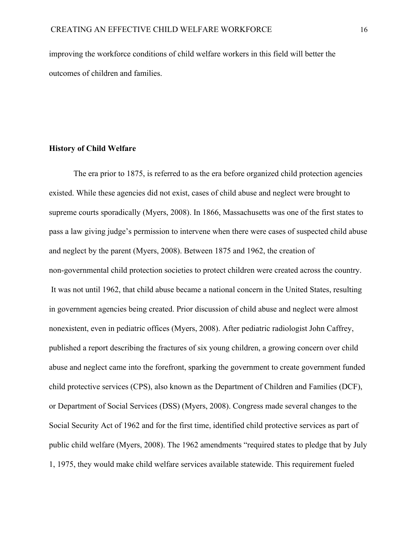improving the workforce conditions of child welfare workers in this field will better the outcomes of children and families.

#### **History of Child Welfare**

The era prior to 1875, is referred to as the era before organized child protection agencies existed. While these agencies did not exist, cases of child abuse and neglect were brought to supreme courts sporadically (Myers, 2008). In 1866, Massachusetts was one of the first states to pass a law giving judge's permission to intervene when there were cases of suspected child abuse and neglect by the parent (Myers, 2008). Between 1875 and 1962, the creation of non-governmental child protection societies to protect children were created across the country. It was not until 1962, that child abuse became a national concern in the United States, resulting in government agencies being created. Prior discussion of child abuse and neglect were almost nonexistent, even in pediatric offices (Myers, 2008). After pediatric radiologist John Caffrey, published a report describing the fractures of six young children, a growing concern over child abuse and neglect came into the forefront, sparking the government to create government funded child protective services (CPS), also known as the Department of Children and Families (DCF), or Department of Social Services (DSS) (Myers, 2008). Congress made several changes to the Social Security Act of 1962 and for the first time, identified child protective services as part of public child welfare (Myers, 2008). The 1962 amendments "required states to pledge that by July 1, 1975, they would make child welfare services available statewide. This requirement fueled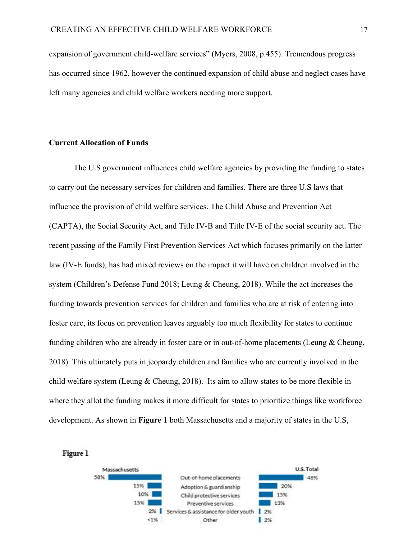expansion of government child-welfare services" (Myers, 2008, p.455). Tremendous progress has occurred since 1962, however the continued expansion of child abuse and neglect cases have left many agencies and child welfare workers needing more support.

## **Current Allocation of Funds**

The U.S government influences child welfare agencies by providing the funding to states to carry out the necessary services for children and families. There are three U.S laws that influence the provision of child welfare services. The Child Abuse and Prevention Act (CAPTA), the Social Security Act, and Title IV-B and Title IV-E of the social security act. The recent passing of the Family First Prevention Services Act which focuses primarily on the latter law (IV-E funds), has had mixed reviews on the impact it will have on children involved in the system (Children's Defense Fund 2018; Leung & Cheung, 2018). While the act increases the funding towards prevention services for children and families who are at risk of entering into foster care, its focus on prevention leaves arguably too much flexibility for states to continue funding children who are already in foster care or in out-of-home placements (Leung & Cheung, 2018). This ultimately puts in jeopardy children and families who are currently involved in the child welfare system (Leung & Cheung, 2018). Its aim to allow states to be more flexible in where they allot the funding makes it more difficult for states to prioritize things like workforce development. As shown in **Figure 1** both Massachusetts and a majority of states in the U.S,



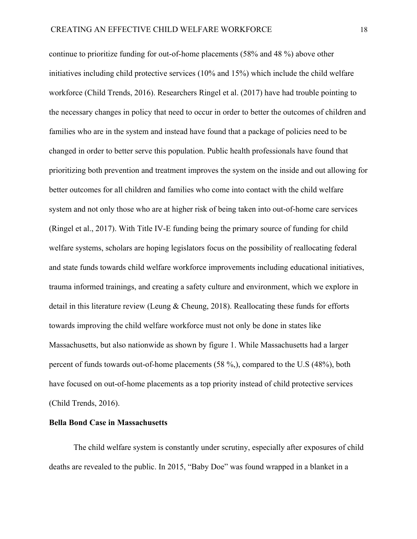continue to prioritize funding for out-of-home placements (58% and 48 %) above other initiatives including child protective services (10% and 15%) which include the child welfare workforce (Child Trends, 2016). Researchers Ringel et al. (2017) have had trouble pointing to the necessary changes in policy that need to occur in order to better the outcomes of children and families who are in the system and instead have found that a package of policies need to be changed in order to better serve this population. Public health professionals have found that prioritizing both prevention and treatment improves the system on the inside and out allowing for better outcomes for all children and families who come into contact with the child welfare system and not only those who are at higher risk of being taken into out-of-home care services (Ringel et al., 2017). With Title IV-E funding being the primary source of funding for child welfare systems, scholars are hoping legislators focus on the possibility of reallocating federal and state funds towards child welfare workforce improvements including educational initiatives, trauma informed trainings, and creating a safety culture and environment, which we explore in detail in this literature review (Leung & Cheung, 2018). Reallocating these funds for efforts towards improving the child welfare workforce must not only be done in states like Massachusetts, but also nationwide as shown by figure 1. While Massachusetts had a larger percent of funds towards out-of-home placements (58 %,), compared to the U.S (48%), both have focused on out-of-home placements as a top priority instead of child protective services (Child Trends, 2016).

## **Bella Bond Case in Massachusetts**

The child welfare system is constantly under scrutiny, especially after exposures of child deaths are revealed to the public. In 2015, "Baby Doe" was found wrapped in a blanket in a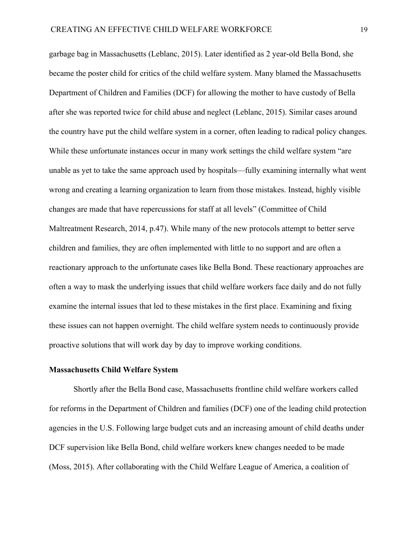garbage bag in Massachusetts (Leblanc, 2015). Later identified as 2 year-old Bella Bond, she became the poster child for critics of the child welfare system. Many blamed the Massachusetts Department of Children and Families (DCF) for allowing the mother to have custody of Bella after she was reported twice for child abuse and neglect (Leblanc, 2015). Similar cases around the country have put the child welfare system in a corner, often leading to radical policy changes. While these unfortunate instances occur in many work settings the child welfare system "are unable as yet to take the same approach used by hospitals—fully examining internally what went wrong and creating a learning organization to learn from those mistakes. Instead, highly visible changes are made that have repercussions for staff at all levels" (Committee of Child Maltreatment Research, 2014, p.47). While many of the new protocols attempt to better serve children and families, they are often implemented with little to no support and are often a reactionary approach to the unfortunate cases like Bella Bond. These reactionary approaches are often a way to mask the underlying issues that child welfare workers face daily and do not fully examine the internal issues that led to these mistakes in the first place. Examining and fixing these issues can not happen overnight. The child welfare system needs to continuously provide proactive solutions that will work day by day to improve working conditions.

#### **Massachusetts Child Welfare System**

Shortly after the Bella Bond case, Massachusetts frontline child welfare workers called for reforms in the Department of Children and families (DCF) one of the leading child protection agencies in the U.S. Following large budget cuts and an increasing amount of child deaths under DCF supervision like Bella Bond, child welfare workers knew changes needed to be made (Moss, 2015). After collaborating with the Child Welfare League of America, a coalition of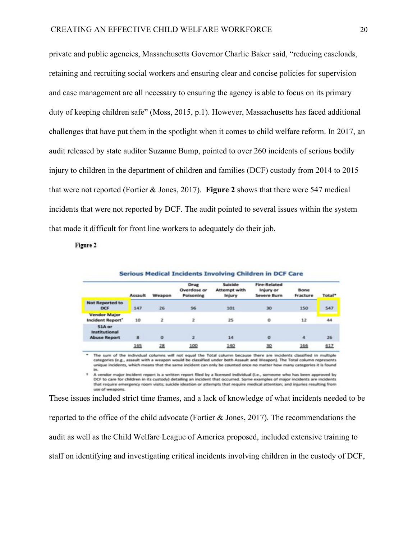private and public agencies, Massachusetts Governor Charlie Baker said, "reducing caseloads, retaining and recruiting social workers and ensuring clear and concise policies for supervision and case management are all necessary to ensuring the agency is able to focus on its primary duty of keeping children safe" (Moss, 2015, p.1). However, Massachusetts has faced additional challenges that have put them in the spotlight when it comes to child welfare reform. In 2017, an audit released by state auditor Suzanne Bump, pointed to over 260 incidents of serious bodily injury to children in the department of children and families (DCF) custody from 2014 to 2015 that were not reported (Fortier & Jones, 2017). **Figure 2** shows that there were 547 medical incidents that were not reported by DCF. The audit pointed to several issues within the system that made it difficult for front line workers to adequately do their job.

Figure 2

|                                                | <b>Assault</b> | Weapon         | Drug<br>Overdose or<br>Poisoning | Suicide<br><b>Attempt with</b><br>Injury | <b>Fire-Related</b><br>Injury or<br>Severe Burn | Bone<br>Fracture | Total* |
|------------------------------------------------|----------------|----------------|----------------------------------|------------------------------------------|-------------------------------------------------|------------------|--------|
| <b>Not Reported to</b><br><b>DCF</b>           | 147            | 26             | 96                               | 101                                      | 30                                              | 150              | 547    |
| <b>Vendor Major</b><br>Incident Report'        | 10             | $\overline{z}$ | $\mathbf{z}$                     | 25                                       | o                                               | 12               | 44     |
| 51A or<br>Institutional<br><b>Abuse Report</b> | 8              | $\circ$        | $\overline{2}$                   | 14                                       | $\alpha$                                        | $\overline{4}$   | 26     |
|                                                | 165            | 28             | 100                              | 140                                      | 30                                              | 166              | 617    |

The sum of the individual columns will not equal the Total column because there are incidents classified in multiple categories (e.g., assault with a weapon would be classified under both Assault and Weapon). The Total column represents unique incidents, which means that the same incident can only be counted once no matter how many categories it is found

<sup>1</sup> A vendor major incident report is a written report filed by a licensed individual (i.e., someone who has been approved by<br>DCF to care for children in its custody) detailing an incident that occurred. Some examples of m that require emergency room visits; suicide ideation or attempts that require medical attention; and injuries resulting from use of weapons.

These issues included strict time frames, and a lack of knowledge of what incidents needed to be reported to the office of the child advocate (Fortier & Jones, 2017). The recommendations the audit as well as the Child Welfare League of America proposed, included extensive training to staff on identifying and investigating critical incidents involving children in the custody of DCF,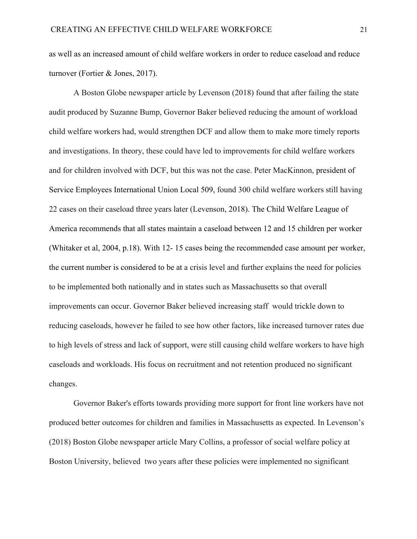as well as an increased amount of child welfare workers in order to reduce caseload and reduce turnover (Fortier & Jones, 2017).

A Boston Globe newspaper article by Levenson (2018) found that after failing the state audit produced by Suzanne Bump, Governor Baker believed reducing the amount of workload child welfare workers had, would strengthen DCF and allow them to make more timely reports and investigations. In theory, these could have led to improvements for child welfare workers and for children involved with DCF, but this was not the case. Peter MacKinnon, president of Service Employees International Union Local 509, found 300 child welfare workers still having 22 cases on their caseload three years later (Levenson, 2018). The Child Welfare League of America recommends that all states maintain a caseload between 12 and 15 children per worker (Whitaker et al, 2004, p.18). With 12- 15 cases being the recommended case amount per worker, the current number is considered to be at a crisis level and further explains the need for policies to be implemented both nationally and in states such as Massachusetts so that overall improvements can occur. Governor Baker believed increasing staff would trickle down to reducing caseloads, however he failed to see how other factors, like increased turnover rates due to high levels of stress and lack of support, were still causing child welfare workers to have high caseloads and workloads. His focus on recruitment and not retention produced no significant changes.

Governor Baker's efforts towards providing more support for front line workers have not produced better outcomes for children and families in Massachusetts as expected. In Levenson's (2018) Boston Globe newspaper article Mary Collins, a professor of social welfare policy at Boston University, believed two years after these policies were implemented no significant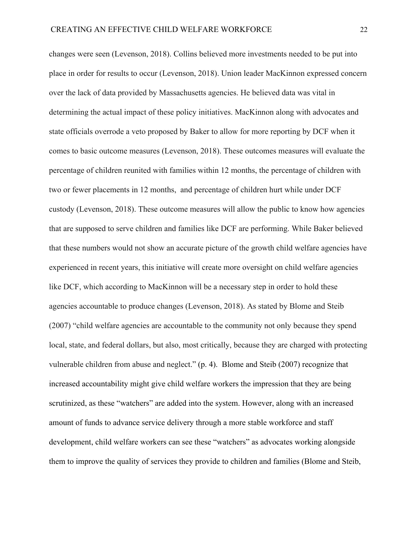changes were seen (Levenson, 2018). Collins believed more investments needed to be put into place in order for results to occur (Levenson, 2018). Union leader MacKinnon expressed concern over the lack of data provided by Massachusetts agencies. He believed data was vital in determining the actual impact of these policy initiatives. MacKinnon along with advocates and state officials overrode a veto proposed by Baker to allow for more reporting by DCF when it comes to basic outcome measures (Levenson, 2018). These outcomes measures will evaluate the percentage of children reunited with families within 12 months, the percentage of children with two or fewer placements in 12 months, and percentage of children hurt while under DCF custody (Levenson, 2018). These outcome measures will allow the public to know how agencies that are supposed to serve children and families like DCF are performing. While Baker believed that these numbers would not show an accurate picture of the growth child welfare agencies have experienced in recent years, this initiative will create more oversight on child welfare agencies like DCF, which according to MacKinnon will be a necessary step in order to hold these agencies accountable to produce changes (Levenson, 2018). As stated by Blome and Steib (2007) "child welfare agencies are accountable to the community not only because they spend local, state, and federal dollars, but also, most critically, because they are charged with protecting vulnerable children from abuse and neglect." (p. 4). Blome and Steib (2007) recognize that increased accountability might give child welfare workers the impression that they are being scrutinized, as these "watchers" are added into the system. However, along with an increased amount of funds to advance service delivery through a more stable workforce and staff development, child welfare workers can see these "watchers" as advocates working alongside them to improve the quality of services they provide to children and families (Blome and Steib,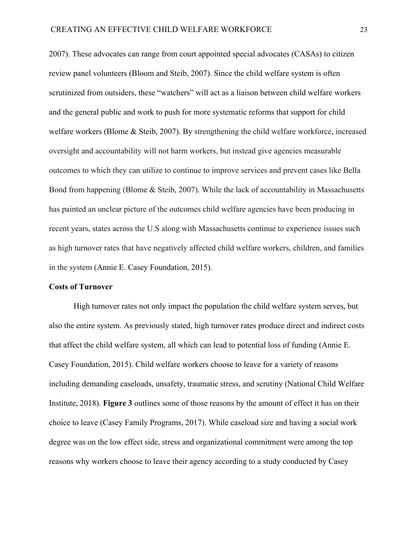2007). These advocates can range from court appointed special advocates (CASAs) to citizen review panel volunteers (Bloom and Steib, 2007). Since the child welfare system is often scrutinized from outsiders, these "watchers" will act as a liaison between child welfare workers and the general public and work to push for more systematic reforms that support for child welfare workers (Blome & Steib, 2007). By strengthening the child welfare workforce, increased oversight and accountability will not harm workers, but instead give agencies measurable outcomes to which they can utilize to continue to improve services and prevent cases like Bella Bond from happening (Blome & Steib, 2007). While the lack of accountability in Massachusetts has painted an unclear picture of the outcomes child welfare agencies have been producing in recent years, states across the U.S along with Massachusetts continue to experience issues such as high turnover rates that have negatively affected child welfare workers, children, and families in the system (Annie E. Casey Foundation, 2015).

#### **Costs of Turnover**

High turnover rates not only impact the population the child welfare system serves, but also the entire system. As previously stated, high turnover rates produce direct and indirect costs that affect the child welfare system, all which can lead to potential loss of funding (Annie E. Casey Foundation, 2015). Child welfare workers choose to leave for a variety of reasons including demanding caseloads, unsafety, traumatic stress, and scrutiny (National Child Welfare Institute, 2018). **Figure 3** outlines some of those reasons by the amount of effect it has on their choice to leave (Casey Family Programs, 2017). While caseload size and having a social work degree was on the low effect side, stress and organizational commitment were among the top reasons why workers choose to leave their agency according to a study conducted by Casey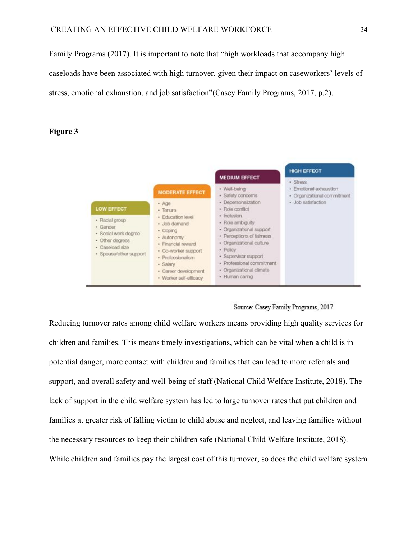Family Programs (2017). It is important to note that "high workloads that accompany high caseloads have been associated with high turnover, given their impact on caseworkers' levels of stress, emotional exhaustion, and job satisfaction"(Casey Family Programs, 2017, p.2).

## **Figure 3**



### Source: Casey Family Programs, 2017

Reducing turnover rates among child welfare workers means providing high quality services for children and families. This means timely investigations, which can be vital when a child is in potential danger, more contact with children and families that can lead to more referrals and support, and overall safety and well-being of staff (National Child Welfare Institute, 2018). The lack of support in the child welfare system has led to large turnover rates that put children and families at greater risk of falling victim to child abuse and neglect, and leaving families without the necessary resources to keep their children safe (National Child Welfare Institute, 2018). While children and families pay the largest cost of this turnover, so does the child welfare system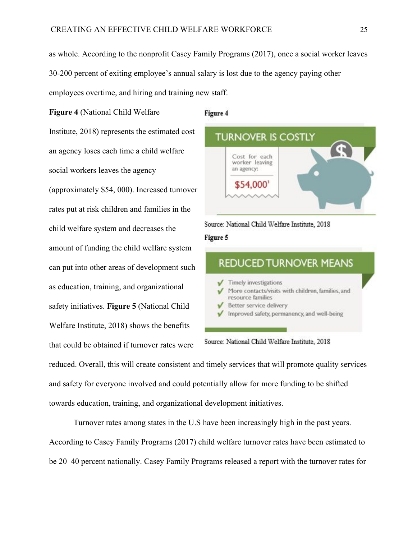as whole. According to the nonprofit Casey Family Programs (2017), once a social worker leaves 30-200 percent of exiting employee's annual salary is lost due to the agency paying other employees overtime, and hiring and training new staff.

**Figure 4** (National Child Welfare Institute, 2018) represents the estimated cost an agency loses each time a child welfare social workers leaves the agency (approximately \$54, 000). Increased turnover rates put at risk children and families in the child welfare system and decreases the amount of funding the child welfare system can put into other areas of development such as education, training, and organizational safety initiatives. **Figure 5** (National Child Welfare Institute, 2018) shows the benefits that could be obtained if turnover rates were

#### Figure 4



Source: National Child Welfare Institute, 2018

## Figure 5



Source: National Child Welfare Institute, 2018

reduced. Overall, this will create consistent and timely services that will promote quality services and safety for everyone involved and could potentially allow for more funding to be shifted towards education, training, and organizational development initiatives.

Turnover rates among states in the U.S have been increasingly high in the past years. According to Casey Family Programs (2017) child welfare turnover rates have been estimated to be 20–40 percent nationally. Casey Family Programs released a report with the turnover rates for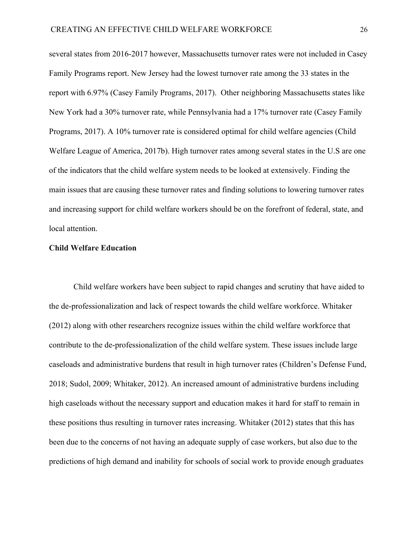several states from 2016-2017 however, Massachusetts turnover rates were not included in Casey Family Programs report. New Jersey had the lowest turnover rate among the 33 states in the report with 6.97% (Casey Family Programs, 2017). Other neighboring Massachusetts states like New York had a 30% turnover rate, while Pennsylvania had a 17% turnover rate (Casey Family Programs, 2017). A 10% turnover rate is considered optimal for child welfare agencies (Child Welfare League of America, 2017b). High turnover rates among several states in the U.S are one of the indicators that the child welfare system needs to be looked at extensively. Finding the main issues that are causing these turnover rates and finding solutions to lowering turnover rates and increasing support for child welfare workers should be on the forefront of federal, state, and local attention.

#### **Child Welfare Education**

Child welfare workers have been subject to rapid changes and scrutiny that have aided to the de-professionalization and lack of respect towards the child welfare workforce. Whitaker (2012) along with other researchers recognize issues within the child welfare workforce that contribute to the de-professionalization of the child welfare system. These issues include large caseloads and administrative burdens that result in high turnover rates (Children's Defense Fund, 2018; Sudol, 2009; Whitaker, 2012). An increased amount of administrative burdens including high caseloads without the necessary support and education makes it hard for staff to remain in these positions thus resulting in turnover rates increasing. Whitaker (2012) states that this has been due to the concerns of not having an adequate supply of case workers, but also due to the predictions of high demand and inability for schools of social work to provide enough graduates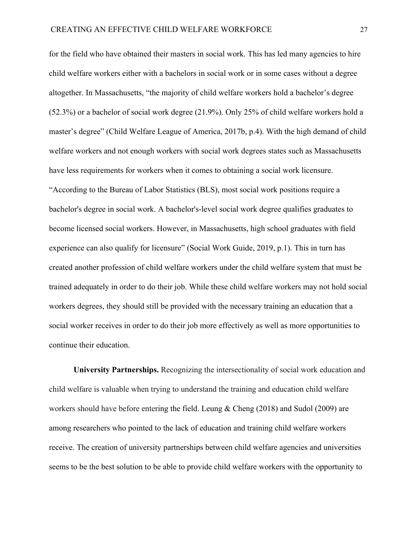for the field who have obtained their masters in social work. This has led many agencies to hire child welfare workers either with a bachelors in social work or in some cases without a degree altogether. In Massachusetts, "the majority of child welfare workers hold a bachelor's degree (52.3%) or a bachelor of social work degree (21.9%). Only 25% of child welfare workers hold a master's degree" (Child Welfare League of America, 2017b, p.4). With the high demand of child welfare workers and not enough workers with social work degrees states such as Massachusetts have less requirements for workers when it comes to obtaining a social work licensure. "According to the [Bureau of Labor Statistics](https://www.bls.gov/ooh/community-and-social-service/social-workers.htm#tab-4) (BLS), most social work positions require a bachelor's degree in social work. A bachelor's-level social work degree qualifies graduates to become licensed social workers. However, in Massachusetts, high school graduates with field experience can also qualify for licensure" (Social Work Guide, 2019, p.1). This in turn has created another profession of child welfare workers under the child welfare system that must be trained adequately in order to do their job. While these child welfare workers may not hold social workers degrees, they should still be provided with the necessary training an education that a social worker receives in order to do their job more effectively as well as more opportunities to continue their education.

**University Partnerships.** Recognizing the intersectionality of social work education and child welfare is valuable when trying to understand the training and education child welfare workers should have before entering the field. Leung & Cheng (2018) and Sudol (2009) are among researchers who pointed to the lack of education and training child welfare workers receive. The creation of university partnerships between child welfare agencies and universities seems to be the best solution to be able to provide child welfare workers with the opportunity to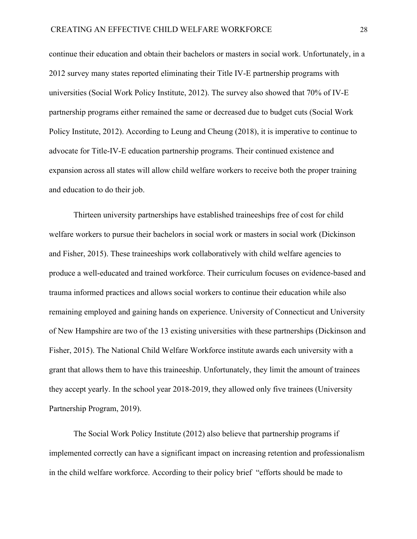continue their education and obtain their bachelors or masters in social work. Unfortunately, in a 2012 survey many states reported eliminating their Title IV-E partnership programs with universities (Social Work Policy Institute, 2012). The survey also showed that 70% of IV-E partnership programs either remained the same or decreased due to budget cuts (Social Work Policy Institute, 2012). According to Leung and Cheung (2018), it is imperative to continue to advocate for Title-IV-E education partnership programs. Their continued existence and expansion across all states will allow child welfare workers to receive both the proper training and education to do their job.

Thirteen university partnerships have established traineeships free of cost for child welfare workers to pursue their bachelors in social work or masters in social work (Dickinson and Fisher, 2015). These traineeships work collaboratively with child welfare agencies to produce a well-educated and trained workforce. Their curriculum focuses on evidence-based and trauma informed practices and allows social workers to continue their education while also remaining employed and gaining hands on experience. University of Connecticut and University of New Hampshire are two of the 13 existing universities with these partnerships (Dickinson and Fisher, 2015). The National Child Welfare Workforce institute awards each university with a grant that allows them to have this traineeship. Unfortunately, they limit the amount of trainees they accept yearly. In the school year 2018-2019, they allowed only five trainees (University Partnership Program, 2019).

The Social Work Policy Institute (2012) also believe that partnership programs if implemented correctly can have a significant impact on increasing retention and professionalism in the child welfare workforce. According to their policy brief "efforts should be made to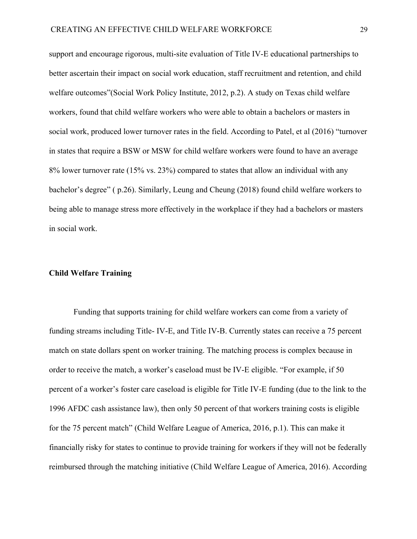support and encourage rigorous, multi-site evaluation of Title IV-E educational partnerships to better ascertain their impact on social work education, staff recruitment and retention, and child welfare outcomes"(Social Work Policy Institute, 2012, p.2). A study on Texas child welfare workers, found that child welfare workers who were able to obtain a bachelors or masters in social work, produced lower turnover rates in the field. According to Patel, et al (2016) "turnover in states that require a BSW or MSW for child welfare workers were found to have an average 8% lower turnover rate (15% vs. 23%) compared to states that allow an individual with any bachelor's degree" ( p.26). Similarly, Leung and Cheung (2018) found child welfare workers to being able to manage stress more effectively in the workplace if they had a bachelors or masters in social work.

### **Child Welfare Training**

Funding that supports training for child welfare workers can come from a variety of funding streams including Title- IV-E, and Title IV-B. Currently states can receive a 75 percent match on state dollars spent on worker training. The matching process is complex because in order to receive the match, a worker's caseload must be IV-E eligible. "For example, if 50 percent of a worker's foster care caseload is eligible for Title IV-E funding (due to the link to the 1996 AFDC cash assistance law), then only 50 percent of that workers training costs is eligible for the 75 percent match" (Child Welfare League of America, 2016, p.1). This can make it financially risky for states to continue to provide training for workers if they will not be federally reimbursed through the matching initiative (Child Welfare League of America, 2016). According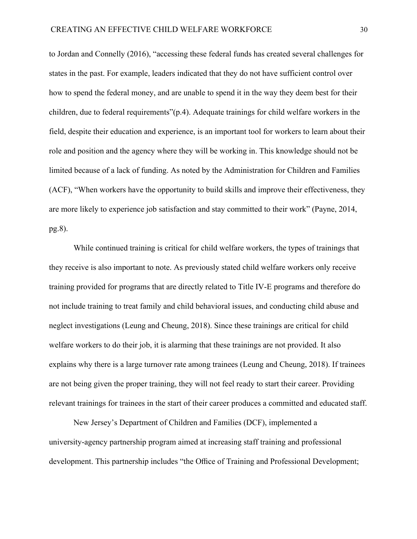to Jordan and Connelly (2016), "accessing these federal funds has created several challenges for states in the past. For example, leaders indicated that they do not have sufficient control over how to spend the federal money, and are unable to spend it in the way they deem best for their children, due to federal requirements"(p.4). Adequate trainings for child welfare workers in the field, despite their education and experience, is an important tool for workers to learn about their role and position and the agency where they will be working in. This knowledge should not be limited because of a lack of funding. As noted by the Administration for Children and Families (ACF), "When workers have the opportunity to build skills and improve their effectiveness, they are more likely to experience job satisfaction and stay committed to their work" (Payne, 2014, pg.8).

While continued training is critical for child welfare workers, the types of trainings that they receive is also important to note. As previously stated child welfare workers only receive training provided for programs that are directly related to Title IV-E programs and therefore do not include training to treat family and child behavioral issues, and conducting child abuse and neglect investigations (Leung and Cheung, 2018). Since these trainings are critical for child welfare workers to do their job, it is alarming that these trainings are not provided. It also explains why there is a large turnover rate among trainees (Leung and Cheung, 2018). If trainees are not being given the proper training, they will not feel ready to start their career. Providing relevant trainings for trainees in the start of their career produces a committed and educated staff.

New Jersey's Department of Children and Families (DCF), implemented a university-agency partnership program aimed at increasing staff training and professional development. This partnership includes "the Office of Training and Professional Development;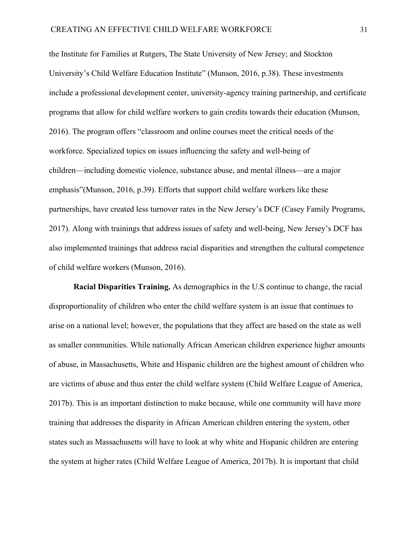the Institute for Families at Rutgers, The State University of New Jersey; and Stockton University's Child Welfare Education Institute" (Munson, 2016, p.38). These investments include a professional development center, university-agency training partnership, and certificate programs that allow for child welfare workers to gain credits towards their education (Munson, 2016). The program offers "classroom and online courses meet the critical needs of the workforce. Specialized topics on issues influencing the safety and well-being of children—including domestic violence, substance abuse, and mental illness—are a major emphasis"(Munson, 2016, p.39). Efforts that support child welfare workers like these partnerships, have created less turnover rates in the New Jersey's DCF (Casey Family Programs, 2017). Along with trainings that address issues of safety and well-being, New Jersey's DCF has also implemented trainings that address racial disparities and strengthen the cultural competence of child welfare workers (Munson, 2016).

**Racial Disparities Training.** As demographics in the U.S continue to change, the racial disproportionality of children who enter the child welfare system is an issue that continues to arise on a national level; however, the populations that they affect are based on the state as well as smaller communities. While nationally African American children experience higher amounts of abuse, in Massachusetts, White and Hispanic children are the highest amount of children who are victims of abuse and thus enter the child welfare system (Child Welfare League of America, 2017b). This is an important distinction to make because, while one community will have more training that addresses the disparity in African American children entering the system, other states such as Massachusetts will have to look at why white and Hispanic children are entering the system at higher rates (Child Welfare League of America, 2017b). It is important that child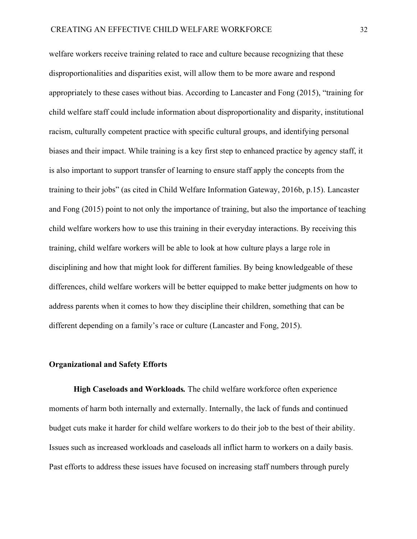welfare workers receive training related to race and culture because recognizing that these disproportionalities and disparities exist, will allow them to be more aware and respond appropriately to these cases without bias. According to Lancaster and Fong (2015), "training for child welfare staff could include information about disproportionality and disparity, institutional racism, culturally competent practice with specific cultural groups, and identifying personal biases and their impact. While training is a key first step to enhanced practice by agency staff, it is also important to support transfer of learning to ensure staff apply the concepts from the training to their jobs" (as cited in Child Welfare Information Gateway, 2016b, p.15). Lancaster and Fong (2015) point to not only the importance of training, but also the importance of teaching child welfare workers how to use this training in their everyday interactions. By receiving this training, child welfare workers will be able to look at how culture plays a large role in disciplining and how that might look for different families. By being knowledgeable of these differences, child welfare workers will be better equipped to make better judgments on how to address parents when it comes to how they discipline their children, something that can be different depending on a family's race or culture (Lancaster and Fong, 2015).

## **Organizational and Safety Efforts**

**High Caseloads and Workloads***.* The child welfare workforce often experience moments of harm both internally and externally. Internally, the lack of funds and continued budget cuts make it harder for child welfare workers to do their job to the best of their ability. Issues such as increased workloads and caseloads all inflict harm to workers on a daily basis. Past efforts to address these issues have focused on increasing staff numbers through purely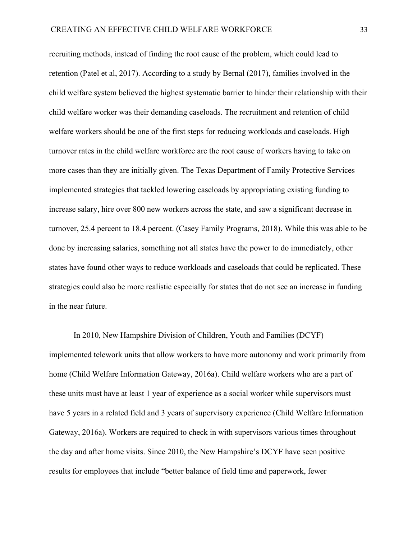recruiting methods, instead of finding the root cause of the problem, which could lead to retention (Patel et al, 2017). According to a study by Bernal (2017), families involved in the child welfare system believed the highest systematic barrier to hinder their relationship with their child welfare worker was their demanding caseloads. The recruitment and retention of child welfare workers should be one of the first steps for reducing workloads and caseloads. High turnover rates in the child welfare workforce are the root cause of workers having to take on more cases than they are initially given. The Texas Department of Family Protective Services implemented strategies that tackled lowering caseloads by appropriating existing funding to increase salary, hire over 800 new workers across the state, and saw a significant decrease in turnover, 25.4 percent to 18.4 percent. (Casey Family Programs, 2018). While this was able to be done by increasing salaries, something not all states have the power to do immediately, other states have found other ways to reduce workloads and caseloads that could be replicated. These strategies could also be more realistic especially for states that do not see an increase in funding in the near future.

In 2010, New Hampshire Division of Children, Youth and Families (DCYF) implemented telework units that allow workers to have more autonomy and work primarily from home (Child Welfare Information Gateway, 2016a). Child welfare workers who are a part of these units must have at least 1 year of experience as a social worker while supervisors must have 5 years in a related field and 3 years of supervisory experience (Child Welfare Information Gateway, 2016a). Workers are required to check in with supervisors various times throughout the day and after home visits. Since 2010, the New Hampshire's DCYF have seen positive results for employees that include "better balance of field time and paperwork, fewer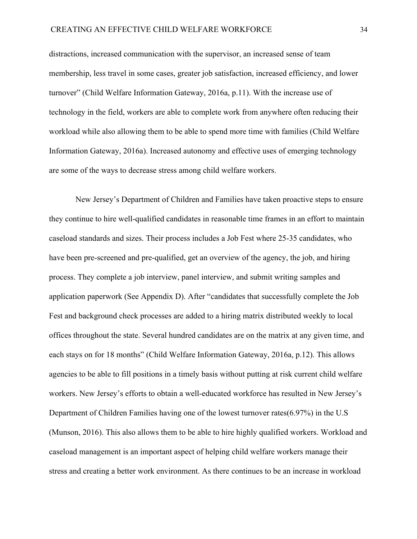distractions, increased communication with the supervisor, an increased sense of team membership, less travel in some cases, greater job satisfaction, increased efficiency, and lower turnover" (Child Welfare Information Gateway, 2016a, p.11). With the increase use of technology in the field, workers are able to complete work from anywhere often reducing their workload while also allowing them to be able to spend more time with families (Child Welfare Information Gateway, 2016a). Increased autonomy and effective uses of emerging technology are some of the ways to decrease stress among child welfare workers.

 New Jersey's Department of Children and Families have taken proactive steps to ensure they continue to hire well-qualified candidates in reasonable time frames in an effort to maintain caseload standards and sizes. Their process includes a Job Fest where 25-35 candidates, who have been pre-screened and pre-qualified, get an overview of the agency, the job, and hiring process. They complete a job interview, panel interview, and submit writing samples and application paperwork (See Appendix D). After "candidates that successfully complete the Job Fest and background check processes are added to a hiring matrix distributed weekly to local offices throughout the state. Several hundred candidates are on the matrix at any given time, and each stays on for 18 months" (Child Welfare Information Gateway, 2016a, p.12). This allows agencies to be able to fill positions in a timely basis without putting at risk current child welfare workers. New Jersey's efforts to obtain a well-educated workforce has resulted in New Jersey's Department of Children Families having one of the lowest turnover rates(6.97%) in the U.S (Munson, 2016). This also allows them to be able to hire highly qualified workers. Workload and caseload management is an important aspect of helping child welfare workers manage their stress and creating a better work environment. As there continues to be an increase in workload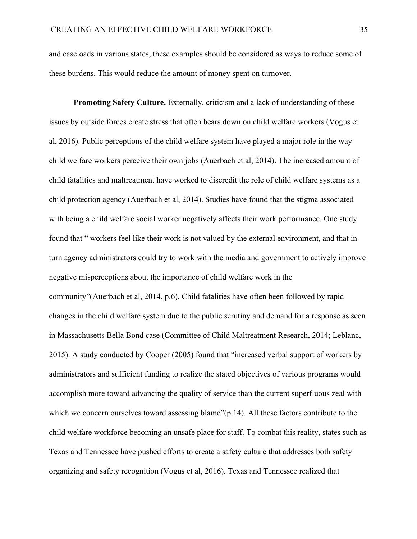and caseloads in various states, these examples should be considered as ways to reduce some of these burdens. This would reduce the amount of money spent on turnover.

**Promoting Safety Culture.** Externally, criticism and a lack of understanding of these issues by outside forces create stress that often bears down on child welfare workers (Vogus et al, 2016). Public perceptions of the child welfare system have played a major role in the way child welfare workers perceive their own jobs (Auerbach et al, 2014). The increased amount of child fatalities and maltreatment have worked to discredit the role of child welfare systems as a child protection agency (Auerbach et al, 2014). Studies have found that the stigma associated with being a child welfare social worker negatively affects their work performance. One study found that " workers feel like their work is not valued by the external environment, and that in turn agency administrators could try to work with the media and government to actively improve negative misperceptions about the importance of child welfare work in the community"(Auerbach et al, 2014, p.6). Child fatalities have often been followed by rapid changes in the child welfare system due to the public scrutiny and demand for a response as seen in Massachusetts Bella Bond case (Committee of Child Maltreatment Research, 2014; Leblanc, 2015). A study conducted by Cooper (2005) found that "increased verbal support of workers by administrators and sufficient funding to realize the stated objectives of various programs would accomplish more toward advancing the quality of service than the current superfluous zeal with which we concern ourselves toward assessing blame"(p.14). All these factors contribute to the child welfare workforce becoming an unsafe place for staff. To combat this reality, states such as Texas and Tennessee have pushed efforts to create a safety culture that addresses both safety organizing and safety recognition (Vogus et al, 2016). Texas and Tennessee realized that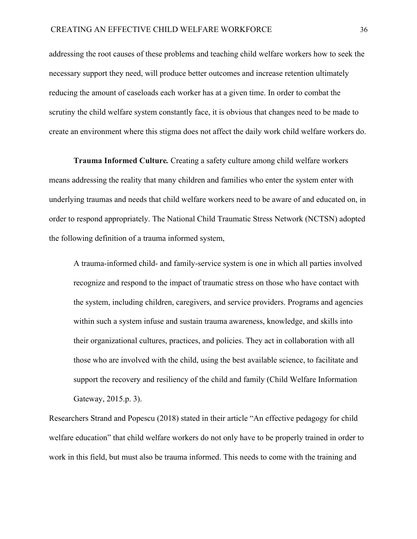addressing the root causes of these problems and teaching child welfare workers how to seek the necessary support they need, will produce better outcomes and increase retention ultimately reducing the amount of caseloads each worker has at a given time. In order to combat the scrutiny the child welfare system constantly face, it is obvious that changes need to be made to create an environment where this stigma does not affect the daily work child welfare workers do.

**Trauma Informed Culture***.* Creating a safety culture among child welfare workers means addressing the reality that many children and families who enter the system enter with underlying traumas and needs that child welfare workers need to be aware of and educated on, in order to respond appropriately. The National Child Traumatic Stress Network (NCTSN) adopted the following definition of a trauma informed system,

A trauma-informed child- and family-service system is one in which all parties involved recognize and respond to the impact of traumatic stress on those who have contact with the system, including children, caregivers, and service providers. Programs and agencies within such a system infuse and sustain trauma awareness, knowledge, and skills into their organizational cultures, practices, and policies. They act in collaboration with all those who are involved with the child, using the best available science, to facilitate and support the recovery and resiliency of the child and family (Child Welfare Information Gateway, 2015.p. 3).

Researchers Strand and Popescu (2018) stated in their article "An effective pedagogy for child welfare education" that child welfare workers do not only have to be properly trained in order to work in this field, but must also be trauma informed. This needs to come with the training and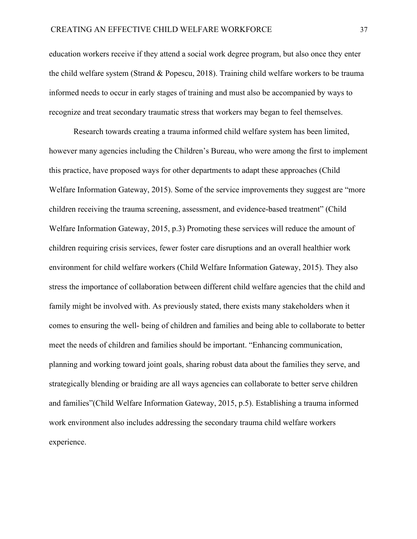education workers receive if they attend a social work degree program, but also once they enter the child welfare system (Strand & Popescu, 2018). Training child welfare workers to be trauma informed needs to occur in early stages of training and must also be accompanied by ways to recognize and treat secondary traumatic stress that workers may began to feel themselves.

Research towards creating a trauma informed child welfare system has been limited, however many agencies including the Children's Bureau, who were among the first to implement this practice, have proposed ways for other departments to adapt these approaches (Child Welfare Information Gateway, 2015). Some of the service improvements they suggest are "more children receiving the trauma screening, assessment, and evidence-based treatment" (Child Welfare Information Gateway, 2015, p.3) Promoting these services will reduce the amount of children requiring crisis services, fewer foster care disruptions and an overall healthier work environment for child welfare workers (Child Welfare Information Gateway, 2015). They also stress the importance of collaboration between different child welfare agencies that the child and family might be involved with. As previously stated, there exists many stakeholders when it comes to ensuring the well- being of children and families and being able to collaborate to better meet the needs of children and families should be important. "Enhancing communication, planning and working toward joint goals, sharing robust data about the families they serve, and strategically blending or braiding are all ways agencies can collaborate to better serve children and families"(Child Welfare Information Gateway, 2015, p.5). Establishing a trauma informed work environment also includes addressing the secondary trauma child welfare workers experience.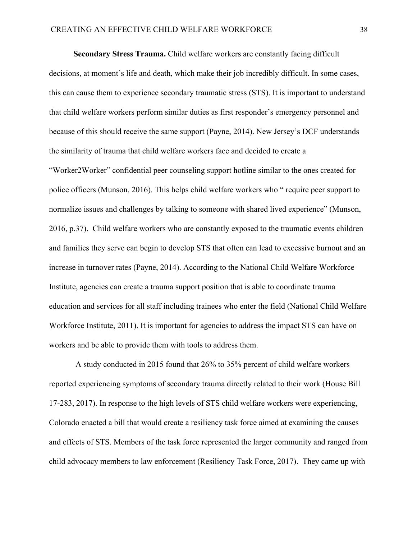**Secondary Stress Trauma.** Child welfare workers are constantly facing difficult decisions, at moment's life and death, which make their job incredibly difficult. In some cases, this can cause them to experience secondary traumatic stress (STS). It is important to understand that child welfare workers perform similar duties as first responder's emergency personnel and because of this should receive the same support (Payne, 2014). New Jersey's DCF understands the similarity of trauma that child welfare workers face and decided to create a "Worker2Worker" confidential peer counseling support hotline similar to the ones created for police officers (Munson, 2016). This helps child welfare workers who " require peer support to normalize issues and challenges by talking to someone with shared lived experience" (Munson, 2016, p.37). Child welfare workers who are constantly exposed to the traumatic events children and families they serve can begin to develop STS that often can lead to excessive burnout and an increase in turnover rates (Payne, 2014). According to the National Child Welfare Workforce Institute, agencies can create a trauma support position that is able to coordinate trauma education and services for all staff including trainees who enter the field (National Child Welfare Workforce Institute, 2011). It is important for agencies to address the impact STS can have on workers and be able to provide them with tools to address them.

 A study conducted in 2015 found that 26% to 35% percent of child welfare workers reported experiencing symptoms of secondary trauma directly related to their work (House Bill 17-283, 2017). In response to the high levels of STS child welfare workers were experiencing, Colorado enacted a bill that would create a resiliency task force aimed at examining the causes and effects of STS. Members of the task force represented the larger community and ranged from child advocacy members to law enforcement (Resiliency Task Force, 2017). They came up with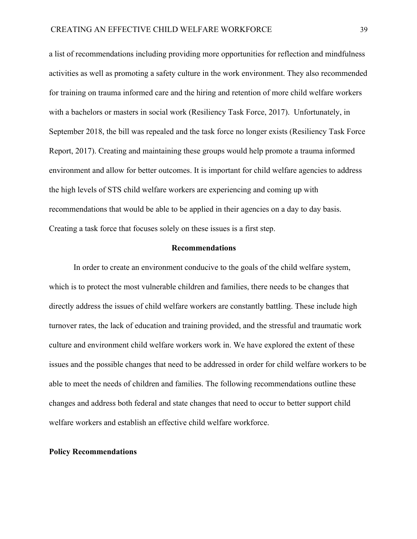a list of recommendations including providing more opportunities for reflection and mindfulness activities as well as promoting a safety culture in the work environment. They also recommended for training on trauma informed care and the hiring and retention of more child welfare workers with a bachelors or masters in social work (Resiliency Task Force, 2017). Unfortunately, in September 2018, the bill was repealed and the task force no longer exists (Resiliency Task Force Report, 2017). Creating and maintaining these groups would help promote a trauma informed environment and allow for better outcomes. It is important for child welfare agencies to address the high levels of STS child welfare workers are experiencing and coming up with recommendations that would be able to be applied in their agencies on a day to day basis. Creating a task force that focuses solely on these issues is a first step.

#### **Recommendations**

In order to create an environment conducive to the goals of the child welfare system, which is to protect the most vulnerable children and families, there needs to be changes that directly address the issues of child welfare workers are constantly battling. These include high turnover rates, the lack of education and training provided, and the stressful and traumatic work culture and environment child welfare workers work in. We have explored the extent of these issues and the possible changes that need to be addressed in order for child welfare workers to be able to meet the needs of children and families. The following recommendations outline these changes and address both federal and state changes that need to occur to better support child welfare workers and establish an effective child welfare workforce.

#### **Policy Recommendations**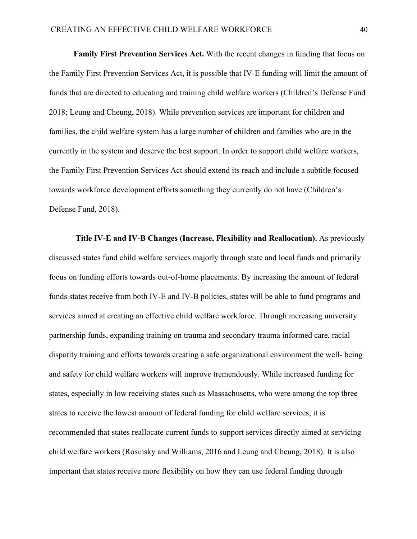**Family First Prevention Services Act.** With the recent changes in funding that focus on the Family First Prevention Services Act, it is possible that IV-E funding will limit the amount of funds that are directed to educating and training child welfare workers (Children's Defense Fund 2018; Leung and Cheung, 2018). While prevention services are important for children and families, the child welfare system has a large number of children and families who are in the currently in the system and deserve the best support. In order to support child welfare workers, the Family First Prevention Services Act should extend its reach and include a subtitle focused towards workforce development efforts something they currently do not have (Children's Defense Fund, 2018).

**Title IV-E and IV-B Changes (Increase, Flexibility and Reallocation).** As previously discussed states fund child welfare services majorly through state and local funds and primarily focus on funding efforts towards out-of-home placements. By increasing the amount of federal funds states receive from both IV-E and IV-B policies, states will be able to fund programs and services aimed at creating an effective child welfare workforce. Through increasing university partnership funds, expanding training on trauma and secondary trauma informed care, racial disparity training and efforts towards creating a safe organizational environment the well- being and safety for child welfare workers will improve tremendously. While increased funding for states, especially in low receiving states such as Massachusetts, who were among the top three states to receive the lowest amount of federal funding for child welfare services, it is recommended that states reallocate current funds to support services directly aimed at servicing child welfare workers (Rosinsky and Williams, 2016 and Leung and Cheung, 2018). It is also important that states receive more flexibility on how they can use federal funding through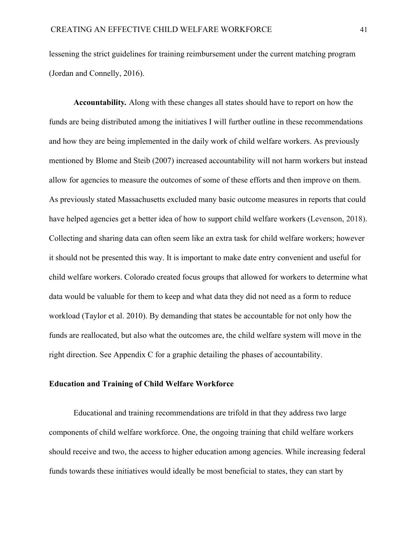lessening the strict guidelines for training reimbursement under the current matching program (Jordan and Connelly, 2016).

**Accountability***.* Along with these changes all states should have to report on how the funds are being distributed among the initiatives I will further outline in these recommendations and how they are being implemented in the daily work of child welfare workers. As previously mentioned by Blome and Steib (2007) increased accountability will not harm workers but instead allow for agencies to measure the outcomes of some of these efforts and then improve on them. As previously stated Massachusetts excluded many basic outcome measures in reports that could have helped agencies get a better idea of how to support child welfare workers (Levenson, 2018). Collecting and sharing data can often seem like an extra task for child welfare workers; however it should not be presented this way. It is important to make date entry convenient and useful for child welfare workers. Colorado created focus groups that allowed for workers to determine what data would be valuable for them to keep and what data they did not need as a form to reduce workload (Taylor et al. 2010). By demanding that states be accountable for not only how the funds are reallocated, but also what the outcomes are, the child welfare system will move in the right direction. See Appendix C for a graphic detailing the phases of accountability.

#### **Education and Training of Child Welfare Workforce**

Educational and training recommendations are trifold in that they address two large components of child welfare workforce. One, the ongoing training that child welfare workers should receive and two, the access to higher education among agencies. While increasing federal funds towards these initiatives would ideally be most beneficial to states, they can start by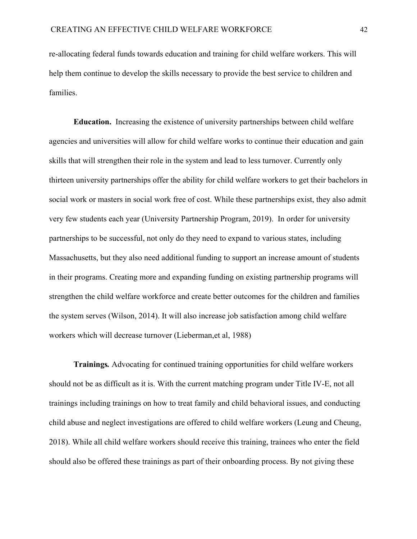re-allocating federal funds towards education and training for child welfare workers. This will help them continue to develop the skills necessary to provide the best service to children and families.

**Education.** Increasing the existence of university partnerships between child welfare agencies and universities will allow for child welfare works to continue their education and gain skills that will strengthen their role in the system and lead to less turnover. Currently only thirteen university partnerships offer the ability for child welfare workers to get their bachelors in social work or masters in social work free of cost. While these partnerships exist, they also admit very few students each year (University Partnership Program, 2019). In order for university partnerships to be successful, not only do they need to expand to various states, including Massachusetts, but they also need additional funding to support an increase amount of students in their programs. Creating more and expanding funding on existing partnership programs will strengthen the child welfare workforce and create better outcomes for the children and families the system serves (Wilson, 2014). It will also increase job satisfaction among child welfare workers which will decrease turnover (Lieberman,et al, 1988)

**Trainings***.* Advocating for continued training opportunities for child welfare workers should not be as difficult as it is. With the current matching program under Title IV-E, not all trainings including trainings on how to treat family and child behavioral issues, and conducting child abuse and neglect investigations are offered to child welfare workers (Leung and Cheung, 2018). While all child welfare workers should receive this training, trainees who enter the field should also be offered these trainings as part of their onboarding process. By not giving these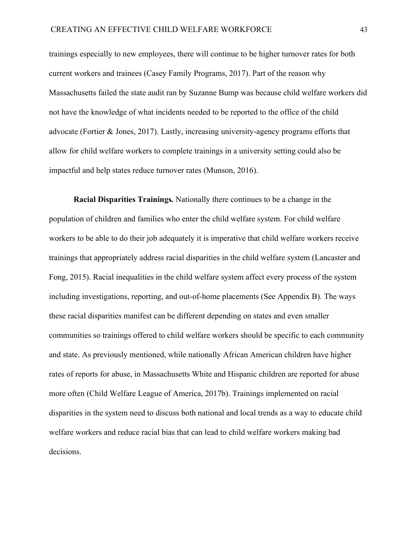trainings especially to new employees, there will continue to be higher turnover rates for both current workers and trainees (Casey Family Programs, 2017). Part of the reason why Massachusetts failed the state audit ran by Suzanne Bump was because child welfare workers did not have the knowledge of what incidents needed to be reported to the office of the child advocate (Fortier & Jones, 2017). Lastly, increasing university-agency programs efforts that allow for child welfare workers to complete trainings in a university setting could also be impactful and help states reduce turnover rates (Munson, 2016).

**Racial Disparities Trainings***.* Nationally there continues to be a change in the population of children and families who enter the child welfare system. For child welfare workers to be able to do their job adequately it is imperative that child welfare workers receive trainings that appropriately address racial disparities in the child welfare system (Lancaster and Fong, 2015). Racial inequalities in the child welfare system affect every process of the system including investigations, reporting, and out-of-home placements (See Appendix B). The ways these racial disparities manifest can be different depending on states and even smaller communities so trainings offered to child welfare workers should be specific to each community and state. As previously mentioned, while nationally African American children have higher rates of reports for abuse, in Massachusetts White and Hispanic children are reported for abuse more often (Child Welfare League of America, 2017b). Trainings implemented on racial disparities in the system need to discuss both national and local trends as a way to educate child welfare workers and reduce racial bias that can lead to child welfare workers making bad decisions.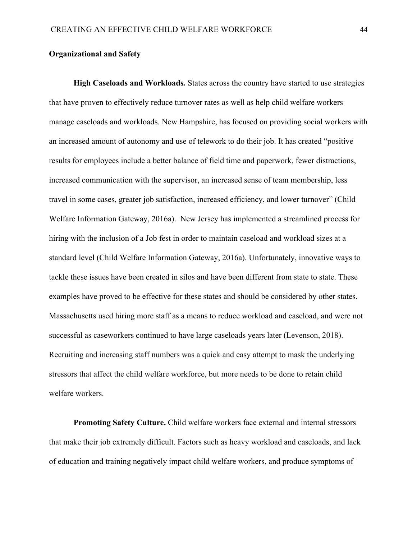## **Organizational and Safety**

**High Caseloads and Workloads***.* States across the country have started to use strategies that have proven to effectively reduce turnover rates as well as help child welfare workers manage caseloads and workloads. New Hampshire, has focused on providing social workers with an increased amount of autonomy and use of telework to do their job. It has created "positive results for employees include a better balance of field time and paperwork, fewer distractions, increased communication with the supervisor, an increased sense of team membership, less travel in some cases, greater job satisfaction, increased efficiency, and lower turnover" (Child Welfare Information Gateway, 2016a). New Jersey has implemented a streamlined process for hiring with the inclusion of a Job fest in order to maintain caseload and workload sizes at a standard level (Child Welfare Information Gateway, 2016a). Unfortunately, innovative ways to tackle these issues have been created in silos and have been different from state to state. These examples have proved to be effective for these states and should be considered by other states. Massachusetts used hiring more staff as a means to reduce workload and caseload, and were not successful as caseworkers continued to have large caseloads years later (Levenson, 2018). Recruiting and increasing staff numbers was a quick and easy attempt to mask the underlying stressors that affect the child welfare workforce, but more needs to be done to retain child welfare workers.

**Promoting Safety Culture.** Child welfare workers face external and internal stressors that make their job extremely difficult. Factors such as heavy workload and caseloads, and lack of education and training negatively impact child welfare workers, and produce symptoms of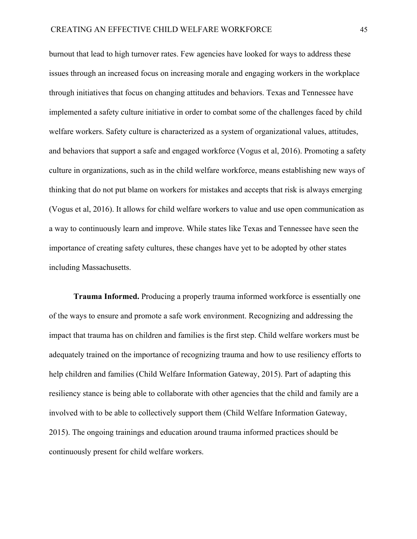burnout that lead to high turnover rates. Few agencies have looked for ways to address these issues through an increased focus on increasing morale and engaging workers in the workplace through initiatives that focus on changing attitudes and behaviors. Texas and Tennessee have implemented a safety culture initiative in order to combat some of the challenges faced by child welfare workers. Safety culture is characterized as a system of organizational values, attitudes, and behaviors that support a safe and engaged workforce (Vogus et al, 2016). Promoting a safety culture in organizations, such as in the child welfare workforce, means establishing new ways of thinking that do not put blame on workers for mistakes and accepts that risk is always emerging (Vogus et al, 2016). It allows for child welfare workers to value and use open communication as a way to continuously learn and improve. While states like Texas and Tennessee have seen the importance of creating safety cultures, these changes have yet to be adopted by other states including Massachusetts.

**Trauma Informed.** Producing a properly trauma informed workforce is essentially one of the ways to ensure and promote a safe work environment. Recognizing and addressing the impact that trauma has on children and families is the first step. Child welfare workers must be adequately trained on the importance of recognizing trauma and how to use resiliency efforts to help children and families (Child Welfare Information Gateway, 2015). Part of adapting this resiliency stance is being able to collaborate with other agencies that the child and family are a involved with to be able to collectively support them (Child Welfare Information Gateway, 2015). The ongoing trainings and education around trauma informed practices should be continuously present for child welfare workers.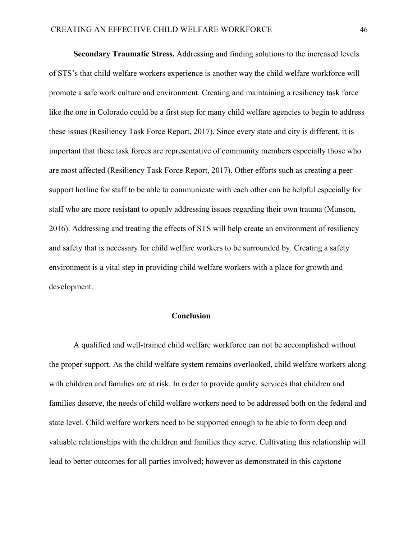**Secondary Traumatic Stress.** Addressing and finding solutions to the increased levels of STS's that child welfare workers experience is another way the child welfare workforce will promote a safe work culture and environment. Creating and maintaining a resiliency task force like the one in Colorado could be a first step for many child welfare agencies to begin to address these issues (Resiliency Task Force Report, 2017). Since every state and city is different, it is important that these task forces are representative of community members especially those who are most affected (Resiliency Task Force Report, 2017). Other efforts such as creating a peer support hotline for staff to be able to communicate with each other can be helpful especially for staff who are more resistant to openly addressing issues regarding their own trauma (Munson, 2016). Addressing and treating the effects of STS will help create an environment of resiliency and safety that is necessary for child welfare workers to be surrounded by. Creating a safety environment is a vital step in providing child welfare workers with a place for growth and development.

## **Conclusion**

A qualified and well-trained child welfare workforce can not be accomplished without the proper support. As the child welfare system remains overlooked, child welfare workers along with children and families are at risk. In order to provide quality services that children and families deserve, the needs of child welfare workers need to be addressed both on the federal and state level. Child welfare workers need to be supported enough to be able to form deep and valuable relationships with the children and families they serve. Cultivating this relationship will lead to better outcomes for all parties involved; however as demonstrated in this capstone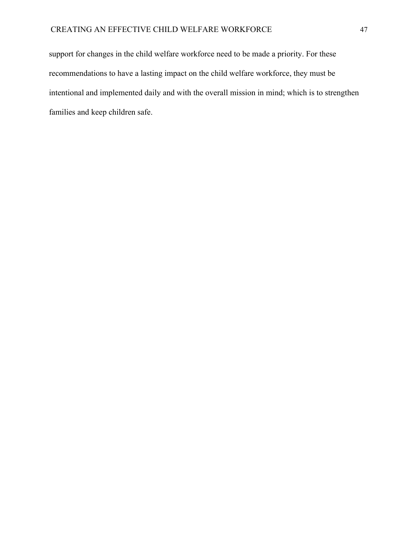support for changes in the child welfare workforce need to be made a priority. For these recommendations to have a lasting impact on the child welfare workforce, they must be intentional and implemented daily and with the overall mission in mind; which is to strengthen families and keep children safe.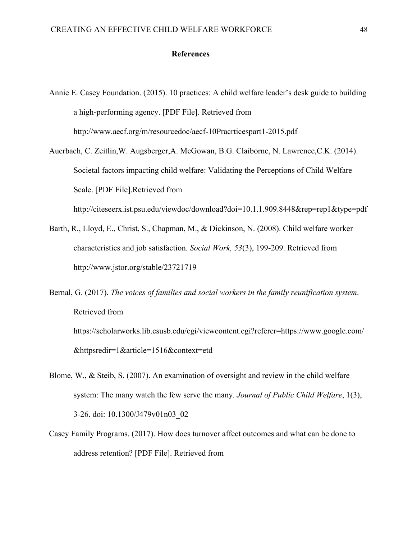#### **References**

- Annie E. Casey Foundation. (2015). 10 practices: A child welfare leader's desk guide to building a high-performing agency. [PDF File]. Retrieved from http://www.aecf.org/m/resourcedoc/aecf-10Pracrticespart1-2015.pdf
- Auerbach, C. Zeitlin,W. Augsberger,A. McGowan, B.G. Claiborne, N. Lawrence,C.K. (2014). Societal factors impacting child welfare: Validating the Perceptions of Child Welfare Scale. [PDF File].Retrieved from <http://citeseerx.ist.psu.edu/viewdoc/download?doi=10.1.1.909.8448&rep=rep1&type=pdf>
- Barth, R., Lloyd, E., Christ, S., Chapman, M., & Dickinson, N. (2008). Child welfare worker characteristics and job satisfaction. *Social Work, 53*(3), 199-209. Retrieved from <http://www.jstor.org/stable/23721719>
- Bernal, G. (2017). *The voices of families and social workers in the family reunification system*. Retrieved from https://scholarworks.lib.csusb.edu/cgi/viewcontent.cgi?referer=https://www.google.com/ &httpsredir=1&article=1516&context=etd
- Blome, W., & Steib, S. (2007). An examination of oversight and review in the child welfare system: The many watch the few serve the many*. Journal of Public Child Welfare*, 1(3), 3-26. doi: 10.1300/J479v01n03\_02
- Casey Family Programs. (2017). How does turnover affect outcomes and what can be done to address retention? [PDF File]. Retrieved from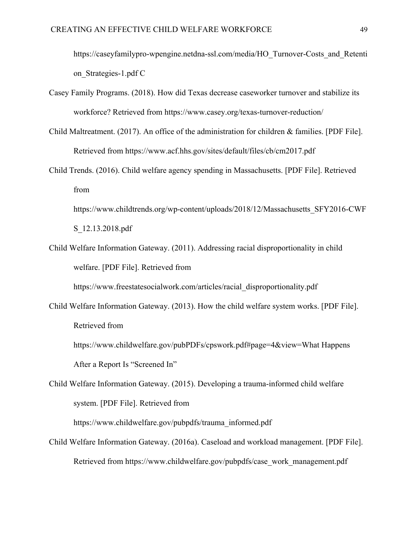https://caseyfamilypro-wpengine.netdna-ssl.com/media/HO\_Turnover-Costs\_and\_Retenti on\_Strategies-1.pdf C

- Casey Family Programs. (2018). How did Texas decrease caseworker turnover and stabilize its workforce? Retrieved from <https://www.casey.org/texas-turnover-reduction/>
- Child Maltreatment. (2017). An office of the administration for children & families. [PDF File]. Retrieved from <https://www.acf.hhs.gov/sites/default/files/cb/cm2017.pdf>
- Child Trends. (2016). Child welfare agency spending in Massachusetts. [PDF File]. Retrieved from
	- [https://www.childtrends.org/wp-content/uploads/2018/12/Massachusetts\\_SFY2016-CWF](https://www.childtrends.org/wp-content/uploads/2018/12/Massachusetts_SFY2016-CWFS_12.13.2018.pdf) [S\\_12.13.2018.pdf](https://www.childtrends.org/wp-content/uploads/2018/12/Massachusetts_SFY2016-CWFS_12.13.2018.pdf)
- Child Welfare Information Gateway. (2011). Addressing racial disproportionality in child welfare. [PDF File]. Retrieved from

[https://www.freestatesocialwork.com/articles/racial\\_disproportionality.pdf](https://www.freestatesocialwork.com/articles/racial_disproportionality.pdf)

Child Welfare Information Gateway. (2013). How the child welfare system works. [PDF File]. Retrieved from

https://www.childwelfare.gov/pubPDFs/cpswork.pdf#page=4&view=What Happens After a Report Is "Screened In"

Child Welfare Information Gateway. (2015). Developing a trauma-informed child welfare system. [PDF File]. Retrieved from

[https://www.childwelfare.gov/pubpdfs/trauma\\_informed.pdf](https://www.childwelfare.gov/pubpdfs/trauma_informed.pdf)

Child Welfare Information Gateway. (2016a). Caseload and workload management. [PDF File]. Retrieved from https://www.childwelfare.gov/pubpdfs/case\_work\_management.pdf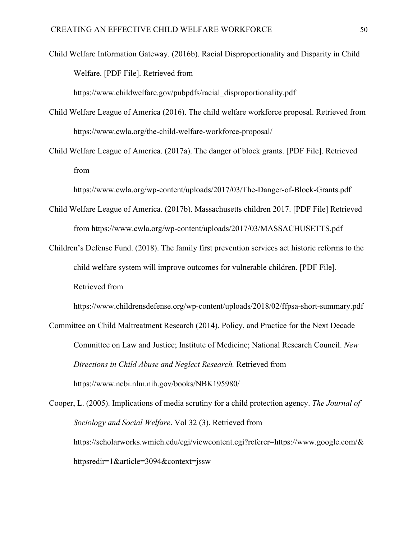Child Welfare Information Gateway. (2016b). Racial Disproportionality and Disparity in Child Welfare. [PDF File]. Retrieved from

[https://www.childwelfare.gov/pubpdfs/racial\\_disproportionality.pdf](https://www.childwelfare.gov/pubpdfs/racial_disproportionality.pdf)

Child Welfare League of America (2016). The child welfare workforce proposal. Retrieved from <https://www.cwla.org/the-child-welfare-workforce-proposal/>

Child Welfare League of America. (2017a). The danger of block grants. [PDF File]. Retrieved fro[m](https://www.cwla.org/wp-content/uploads/2017/03/The-Danger-of-Block-Grants.pdf)

<https://www.cwla.org/wp-content/uploads/2017/03/The-Danger-of-Block-Grants.pdf>

- Child Welfare League of America. (2017b). Massachusetts children 2017. [PDF File] Retrieved from<https://www.cwla.org/wp-content/uploads/2017/03/MASSACHUSETTS.pdf>
- Children's Defense Fund. (2018). The family first prevention services act historic reforms to the child welfare system will improve outcomes for vulnerable children. [PDF File]. Retrieved from

<https://www.childrensdefense.org/wp-content/uploads/2018/02/ffpsa-short-summary.pdf>

Committee on Child Maltreatment Research (2014). Policy, and Practice for the Next Decade Committee on Law and Justice; Institute of Medicine; National Research Council. *New Directions in Child Abuse and Neglect Research.* Retrieved from https://www.ncbi.nlm.nih.gov/books/NBK195980/

Cooper, L. (2005). Implications of media scrutiny for a child protection agency. *The Journal of Sociology and Social Welfare*. Vol 32 (3). Retrieved from [https://scholarworks.wmich.edu/cgi/viewcontent.cgi?referer=https://www.google.com/&](https://scholarworks.wmich.edu/cgi/viewcontent.cgi?referer=https://www.google.com/&httpsredir=1&article=3094&context=jssw) [httpsredir=1&article=3094&context=jssw](https://scholarworks.wmich.edu/cgi/viewcontent.cgi?referer=https://www.google.com/&httpsredir=1&article=3094&context=jssw)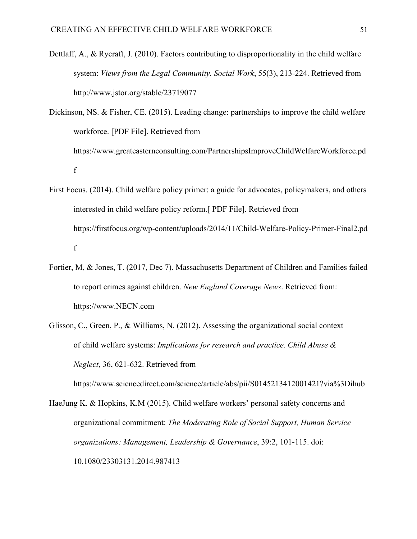Dettlaff, A., & Rycraft, J. (2010). Factors contributing to disproportionality in the child welfare system: *Views from the Legal Community. Social Work*, 55(3), 213-224. Retrieved from <http://www.jstor.org/stable/23719077>

Dickinson, NS. & Fisher, CE. (2015). Leading change: partnerships to improve the child welfare workforce. [PDF File]. Retrieved from [https://www.greateasternconsulting.com/PartnershipsImproveChildWelfareWorkforce.pd](https://www.greateasternconsulting.com/PartnershipsImproveChildWelfareWorkforce.pdf) [f](https://www.greateasternconsulting.com/PartnershipsImproveChildWelfareWorkforce.pdf)

- First Focus. (2014). Child welfare policy primer: a guide for advocates, policymakers, and others interested in child welfare policy reform.[ PDF File]. Retrieved from [https://firstfocus.org/wp-content/uploads/2014/11/Child-Welfare-Policy-Primer-Final2.pd](https://firstfocus.org/wp-content/uploads/2014/11/Child-Welfare-Policy-Primer-Final2.pdf) [f](https://firstfocus.org/wp-content/uploads/2014/11/Child-Welfare-Policy-Primer-Final2.pdf)
- Fortier, M, & Jones, T. (2017, Dec 7). Massachusetts Department of Children and Families failed to report crimes against children. *New England Coverage News*. Retrieved from: [https://www.NECN.com](https://www.necn.com/news/new-england/Report-Massachusetts-Department-of-Children-and-Families-Failed-to-Report-Crimes-Against-Children-462553093.html)
- Glisson, C., Green, P., & Williams, N. (2012). Assessing the organizational social context of child welfare systems: *Implications for research and practice. Child Abuse & Neglect*, 36, 621-632. Retrieved from

https://www.sciencedirect.com/science/article/abs/pii/S0145213412001421?via%3Dihub

HaeJung K. & Hopkins, K.M (2015). Child welfare workers' personal safety concerns and organizational commitment: *The Moderating Role of Social Support, Human Service organizations: Management, Leadership & Governance*, 39:2, 101-115. doi: [10.1080/23303131.2014.987413](https://doi.org/10.1080/23303131.2014.987413)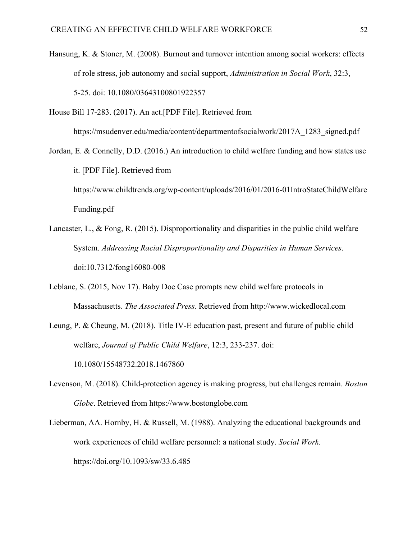Hansung, K. & Stoner, M. (2008). Burnout and turnover intention among social workers: effects of role stress, job autonomy and social support, *Administration in Social Work*, 32:3, 5-25. doi: 10.1080/03643100801922357

House Bill 17-283. (2017). An act.[PDF File]. Retrieved from

[https://msudenver.edu/media/content/departmentofsocialwork/2017A\\_1283\\_signed.pdf](https://msudenver.edu/media/content/departmentofsocialwork/2017A_1283_signed.pdf)

Jordan, E. & Connelly, D.D. (2016.) An introduction to child welfare funding and how states use it. [PDF File]. Retrieved from [https://www.childtrends.org/wp-content/uploads/2016/01/2016-01IntroStateChildWelfare](https://www.childtrends.org/wp-content/uploads/2016/01/2016-01IntroStateChildWelfareFunding.pdf) [Funding.pdf](https://www.childtrends.org/wp-content/uploads/2016/01/2016-01IntroStateChildWelfareFunding.pdf)

Lancaster, L., & Fong, R. (2015). Disproportionality and disparities in the public child welfare System. *Addressing Racial Disproportionality and Disparities in Human Services*. doi:10.7312/fong16080-008

Leblanc, S. (2015, Nov 17). Baby Doe Case prompts new child welfare protocols in Massachusetts. *The Associated Press*. Retrieved from http://www.wickedlocal.com

Leung, P. & Cheung, M. (2018). Title IV-E education past, present and future of public child welfare, *Journal of Public Child Welfare*, 12:3, 233-237. doi: [10.1080/15548732.2018.1467860](https://doi.org/10.1080/15548732.2018.1467860)

Levenson, M. (2018). Child-protection agency is making progress, but challenges remain. *Boston Globe*. Retrieved from https://www.bostonglobe.com

Lieberman, AA. Hornby, H. & Russell, M. (1988). Analyzing the educational backgrounds and work experiences of child welfare personnel: a national study. *Social Work.* <https://doi.org/10.1093/sw/33.6.485>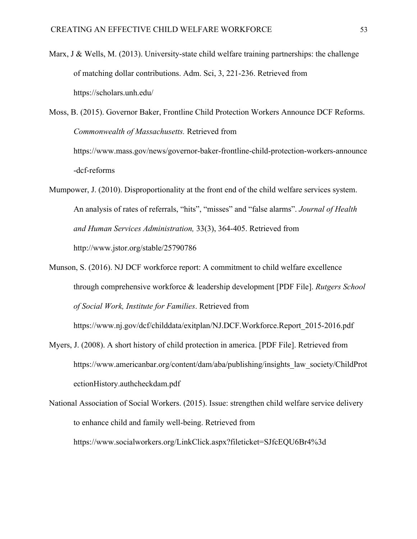Marx, J & Wells, M.  $(2013)$ . University-state child welfare training partnerships: the challenge of matching dollar contributions. Adm. Sci, 3, 221-236. Retrieved from <https://scholars.unh.edu/>

Moss, B. (2015). Governor Baker, Frontline Child Protection Workers Announce DCF Reforms. *Commonwealth of Massachusetts.* Retrieved from [https://www.mass.gov/news/governor-baker-frontline-child-protection-workers-announce](https://www.mass.gov/news/governor-baker-frontline-child-protection-workers-announce-dcf-reforms) [-dcf-reforms](https://www.mass.gov/news/governor-baker-frontline-child-protection-workers-announce-dcf-reforms)

- Mumpower, J. (2010). Disproportionality at the front end of the child welfare services system. An analysis of rates of referrals, "hits", "misses" and "false alarms". *Journal of Health and Human Services Administration,* 33(3), 364-405. Retrieved from <http://www.jstor.org/stable/25790786>
- Munson, S. (2016). NJ DCF workforce report: A commitment to child welfare excellence through comprehensive workforce & leadership development [PDF File]. *Rutgers School of Social Work, Institute for Families*. Retrieved from

https://www.nj.gov/dcf/childdata/exitplan/NJ.DCF.Workforce.Report\_2015-2016.pdf

- Myers, J. (2008). A short history of child protection in america. [PDF File]. Retrieved from https://www.americanbar.org/content/dam/aba/publishing/insights\_law\_society/ChildProt ectionHistory.authcheckdam.pdf
- National Association of Social Workers. (2015). Issue: strengthen child welfare service delivery to enhance child and family well-being. Retrieved from <https://www.socialworkers.org/LinkClick.aspx?fileticket=SJfcEQU6Br4%3d>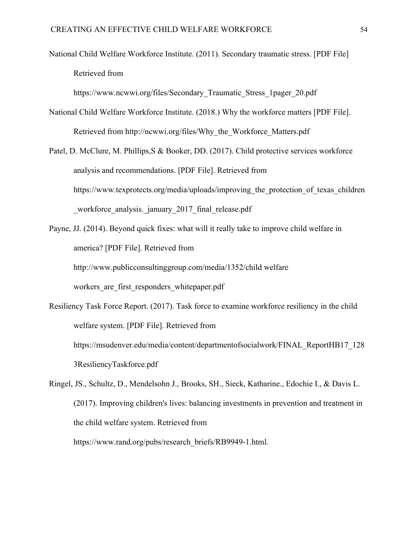National Child Welfare Workforce Institute. (2011). Secondary traumatic stress. [PDF File] Retrieved from

[https://www.ncwwi.org/files/Secondary\\_Traumatic\\_Stress\\_1pager\\_20.pdf](https://www.ncwwi.org/files/Secondary_Traumatic_Stress_1pager_20.pdf)

- National Child Welfare Workforce Institute. (2018.) Why the workforce matters [PDF File]. Retrieved from [http://ncwwi.org/files/Why\\_the\\_Workforce\\_Matters.pdf](http://ncwwi.org/files/Why_the_Workforce_Matters.pdf)
- Patel, D. McClure, M. Phillips,S & Booker, DD. (2017). Child protective services workforce analysis and recommendations. [PDF File]. Retrieved from https://www.texprotects.org/media/uploads/improving the protection of texas children workforce analysis. january 2017 final release.pdf
- Payne, JJ. (2014). Beyond quick fixes: what will it really take to improve child welfare in america? [PDF File]. Retrieved from [http://www.publicconsultinggroup.com/media/1352/child welfare](http://www.publicconsultinggroup.com/media/1352/child%20welfare%20workers_are_first_responders_whitepaper.pdf) workers are first responders whitepaper.pdf
- Resiliency Task Force Report. (2017). Task force to examine workforce resiliency in the child welfare system. [PDF File]. Retrieved from https://msudenver.edu/media/content/departmentofsocialwork/FINAL\_ReportHB17\_128 3ResiliencyTaskforce.pdf
- Ringel, JS., Schultz, D., Mendelsohn J., Brooks, SH., Sieck, Katharine., Edochie I., & Davis L. (2017). Improving children's lives: balancing investments in prevention and treatment in the child welfare system. Retrieved from [https://www.rand.org/pubs/research\\_briefs/RB9949-1.html.](https://www.rand.org/pubs/research_briefs/RB9949-1.html)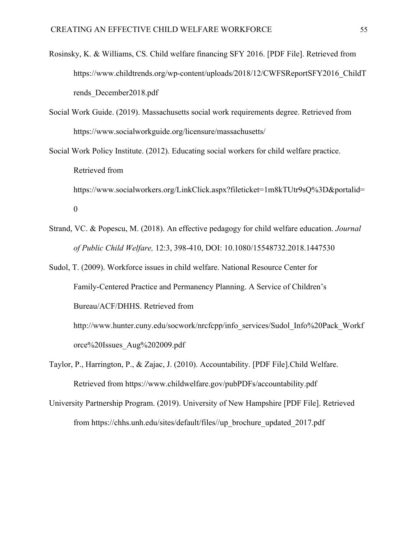- Rosinsky, K. & Williams, CS. Child welfare financing SFY 2016. [PDF File]. Retrieved from https://www.childtrends.org/wp-content/uploads/2018/12/CWFSReportSFY2016\_ChildT rends\_December2018.pdf
- Social Work Guide. (2019). Massachusetts social work requirements degree. Retrieved from https://www.socialworkguide.org/licensure/massachusetts/
- Social Work Policy Institute. (2012). Educating social workers for child welfare practice. Retrieved from https://www.socialworkers.org/LinkClick.aspx?fileticket=1m8kTUtr9sQ%3D&portalid= 0
- Strand, VC. & Popescu, M. (2018). An effective pedagogy for child welfare education. *Journal of Public Child Welfare,* 12:3, 398-410, DOI: [10.1080/15548732.2018.1447530](https://doi.org/10.1080/15548732.2018.1447530)
- Sudol, T. (2009). Workforce issues in child welfare. National Resource Center for Family-Centered Practice and Permanency Planning. A Service of Children's Bureau/ACF/DHHS. Retrieved from

http://www.hunter.cuny.edu/socwork/nrcfcpp/info\_services/Sudol\_Info%20Pack\_Workf orce%20Issues\_Aug%202009.pdf

- Taylor, P., Harrington, P., & Zajac, J. (2010). Accountability. [PDF File].Child Welfare. Retrieved from https://www.childwelfare.gov/pubPDFs/accountability.pdf
- University Partnership Program. (2019). University of New Hampshire [PDF File]. Retrieved from [https://chhs.unh.edu/sites/default/files//up\\_brochure\\_updated\\_2017.pdf](https://chhs.unh.edu/sites/default/files/up_brochure_updated_2017.pdf)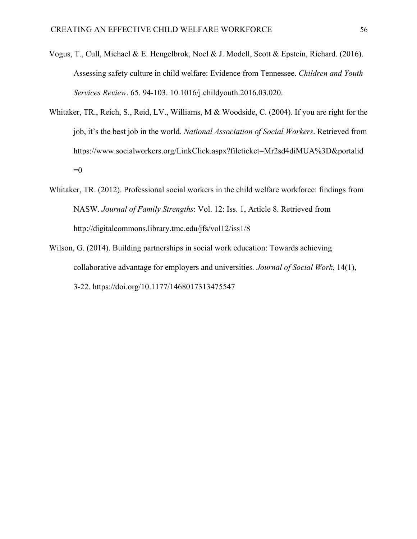- Vogus, T., Cull, Michael & E. Hengelbrok, Noel & J. Modell, Scott & Epstein, Richard. (2016). Assessing safety culture in child welfare: Evidence from Tennessee. *Children and Youth Services Review*. 65. 94-103. 10.1016/j.childyouth.2016.03.020.
- Whitaker, TR., Reich, S., Reid, LV., Williams, M & Woodside, C. (2004). If you are right for the job, it's the best job in the world. *National Association of Social Workers*. Retrieved from [https://www.socialworkers.org/LinkClick.aspx?fileticket=Mr2sd4diMUA%3D&portalid](https://www.socialworkers.org/LinkClick.aspx?fileticket=Mr2sd4diMUA%3D&portalid=0)  $=0$
- Whitaker, TR. (2012). Professional social workers in the child welfare workforce: findings from NASW. *Journal of Family Strengths*: Vol. 12: Iss. 1, Article 8. Retrieved from http://digitalcommons.library.tmc.edu/jfs/vol12/iss1/8
- Wilson, G. (2014). Building partnerships in social work education: Towards achieving collaborative advantage for employers and universities*. Journal of Social Work*, 14(1), 3-22. https://doi.org/10.1177/1468017313475547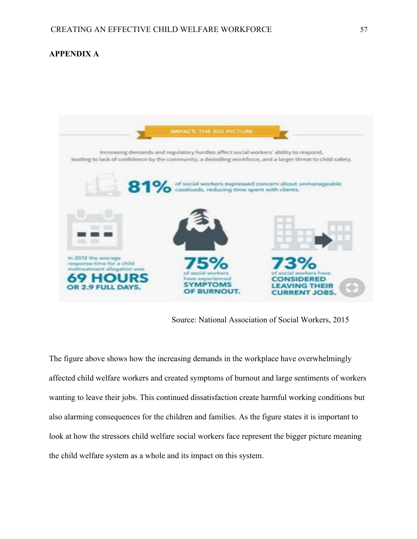## **APPENDIX A**



Source: National Association of Social Workers, 2015

The figure above shows how the increasing demands in the workplace have overwhelmingly affected child welfare workers and created symptoms of burnout and large sentiments of workers wanting to leave their jobs. This continued dissatisfaction create harmful working conditions but also alarming consequences for the children and families. As the figure states it is important to look at how the stressors child welfare social workers face represent the bigger picture meaning the child welfare system as a whole and its impact on this system.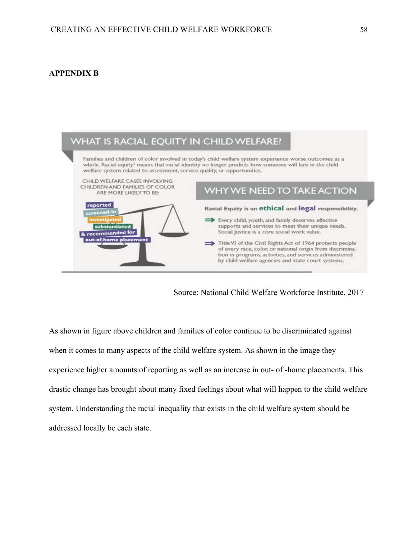## **APPENDIX B**



Source: National Child Welfare Workforce Institute, 2017

As shown in figure above children and families of color continue to be discriminated against when it comes to many aspects of the child welfare system. As shown in the image they experience higher amounts of reporting as well as an increase in out- of -home placements. This drastic change has brought about many fixed feelings about what will happen to the child welfare system. Understanding the racial inequality that exists in the child welfare system should be addressed locally be each state.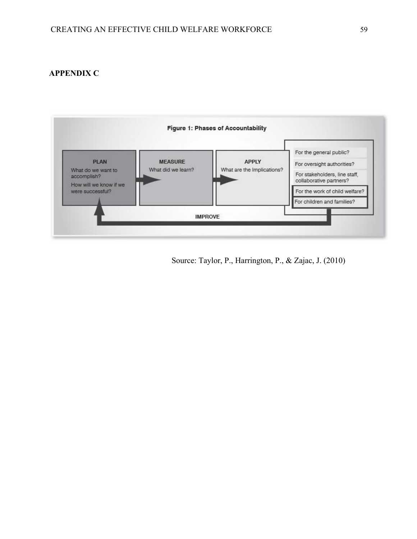## **APPENDIX C**



Source: Taylor, P., Harrington, P., & Zajac, J. (2010)